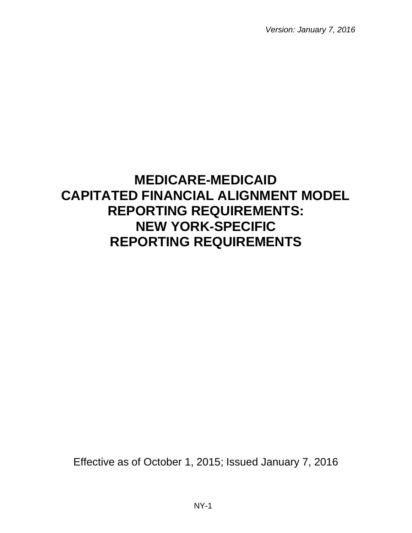# **MEDICARE-MEDICAID CAPITATED FINANCIAL ALIGNMENT MODEL REPORTING REQUIREMENTS: NEW YORK-SPECIFIC REPORTING REQUIREMENTS**

Effective as of October 1, 2015; Issued January 7, 2016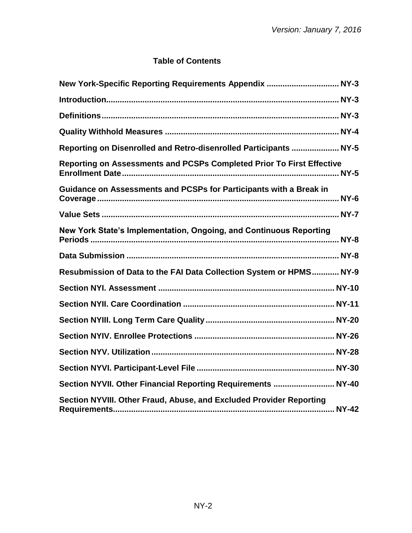## **Table of Contents**

| New York-Specific Reporting Requirements Appendix  NY-3               |
|-----------------------------------------------------------------------|
|                                                                       |
|                                                                       |
|                                                                       |
| Reporting on Disenrolled and Retro-disenrolled Participants  NY-5     |
| Reporting on Assessments and PCSPs Completed Prior To First Effective |
| Guidance on Assessments and PCSPs for Participants with a Break in    |
|                                                                       |
| New York State's Implementation, Ongoing, and Continuous Reporting    |
|                                                                       |
| Resubmission of Data to the FAI Data Collection System or HPMS NY-9   |
|                                                                       |
|                                                                       |
|                                                                       |
|                                                                       |
|                                                                       |
|                                                                       |
| Section NYVII. Other Financial Reporting Requirements  NY-40          |
| Section NYVIII. Other Fraud, Abuse, and Excluded Provider Reporting   |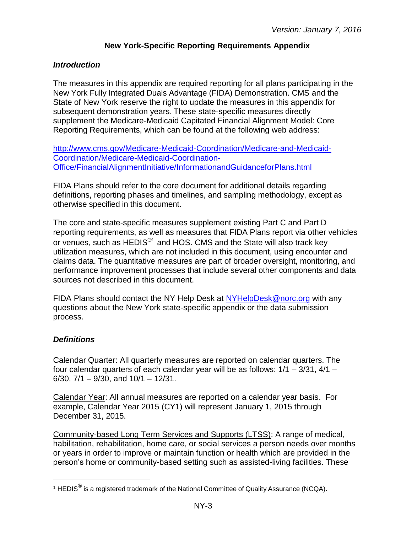## **New York-Specific Reporting Requirements Appendix**

#### <span id="page-2-1"></span><span id="page-2-0"></span>*Introduction*

The measures in this appendix are required reporting for all plans participating in the New York Fully Integrated Duals Advantage (FIDA) Demonstration. CMS and the State of New York reserve the right to update the measures in this appendix for subsequent demonstration years. These state-specific measures directly supplement the Medicare-Medicaid Capitated Financial Alignment Model: Core Reporting Requirements, which can be found at the following web address:

[http://www.cms.gov/Medicare-Medicaid-Coordination/Medicare-and-Medicaid-](http://www.cms.gov/Medicare-Medicaid-Coordination/Medicare-and-Medicaid-Coordination/Medicare-Medicaid-Coordination-Office/FinancialAlignmentInitiative/InformationandGuidanceforPlans.html)[Coordination/Medicare-Medicaid-Coordination-](http://www.cms.gov/Medicare-Medicaid-Coordination/Medicare-and-Medicaid-Coordination/Medicare-Medicaid-Coordination-Office/FinancialAlignmentInitiative/InformationandGuidanceforPlans.html)[Office/FinancialAlignmentInitiative/InformationandGuidanceforPlans.html](http://www.cms.gov/Medicare-Medicaid-Coordination/Medicare-and-Medicaid-Coordination/Medicare-Medicaid-Coordination-Office/FinancialAlignmentInitiative/InformationandGuidanceforPlans.html)

FIDA Plans should refer to the core document for additional details regarding definitions, reporting phases and timelines, and sampling methodology, except as otherwise specified in this document.

The core and state-specific measures supplement existing Part C and Part D reporting requirements, as well as measures that FIDA Plans report via other vehicles or venues, such as HEDIS $^{\circledast}$  and HOS. CMS and the State will also track key utilization measures, which are not included in this document, using encounter and claims data. The quantitative measures are part of broader oversight, monitoring, and performance improvement processes that include several other components and data sources not described in this document.

FIDA Plans should contact the NY Help Desk at [NYHelpDesk@norc.org](mailto:NYHelpDesk@norc.org) with any questions about the New York state-specific appendix or the data submission process.

#### <span id="page-2-2"></span>*Definitions*

 $\overline{a}$ 

Calendar Quarter: All quarterly measures are reported on calendar quarters. The four calendar quarters of each calendar year will be as follows: 1/1 – 3/31, 4/1 – 6/30,  $7/1 - 9/30$ , and  $10/1 - 12/31$ .

Calendar Year: All annual measures are reported on a calendar year basis. For example, Calendar Year 2015 (CY1) will represent January 1, 2015 through December 31, 2015.

Community-based Long Term Services and Supports (LTSS): A range of medical, habilitation, rehabilitation, home care, or social services a person needs over months or years in order to improve or maintain function or health which are provided in the person's home or community-based setting such as assisted-living facilities. These

<sup>&</sup>lt;sup>1</sup> HEDIS $^{\circledR}$  is a registered trademark of the National Committee of Quality Assurance (NCQA).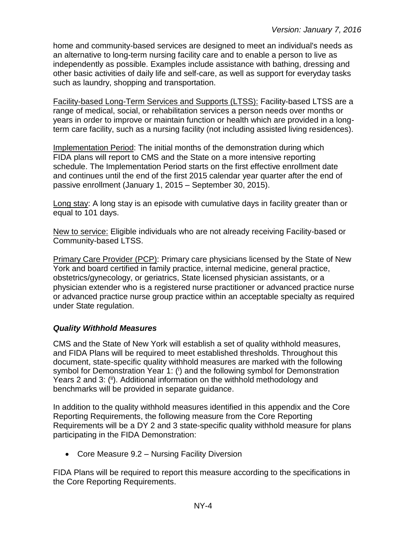home and community-based services are designed to meet an individual's needs as an alternative to long-term nursing facility care and to enable a person to live as independently as possible. Examples include assistance with bathing, dressing and other basic activities of daily life and self-care, as well as support for everyday tasks such as laundry, shopping and transportation.

Facility-based Long-Term Services and Supports (LTSS): Facility-based LTSS are a range of medical, social, or rehabilitation services a person needs over months or years in order to improve or maintain function or health which are provided in a longterm care facility, such as a nursing facility (not including assisted living residences).

Implementation Period: The initial months of the demonstration during which FIDA plans will report to CMS and the State on a more intensive reporting schedule. The Implementation Period starts on the first effective enrollment date and continues until the end of the first 2015 calendar year quarter after the end of passive enrollment (January 1, 2015 – September 30, 2015).

Long stay: A long stay is an episode with cumulative days in facility greater than or equal to 101 days.

New to service: Eligible individuals who are not already receiving Facility-based or Community-based LTSS.

Primary Care Provider (PCP): Primary care physicians licensed by the State of New York and board certified in family practice, internal medicine, general practice, obstetrics/gynecology, or geriatrics, State licensed physician assistants, or a physician extender who is a registered nurse practitioner or advanced practice nurse or advanced practice nurse group practice within an acceptable specialty as required under State regulation.

#### <span id="page-3-0"></span>*Quality Withhold Measures*

CMS and the State of New York will establish a set of quality withhold measures, and FIDA Plans will be required to meet established thresholds. Throughout this document, state-specific quality withhold measures are marked with the following symbol for Demonstration Year 1: (i) and the following symbol for Demonstration Years 2 and 3: (ii). Additional information on the withhold methodology and benchmarks will be provided in separate guidance.

In addition to the quality withhold measures identified in this appendix and the Core Reporting Requirements, the following measure from the Core Reporting Requirements will be a DY 2 and 3 state-specific quality withhold measure for plans participating in the FIDA Demonstration:

• Core Measure 9.2 – Nursing Facility Diversion

FIDA Plans will be required to report this measure according to the specifications in the Core Reporting Requirements.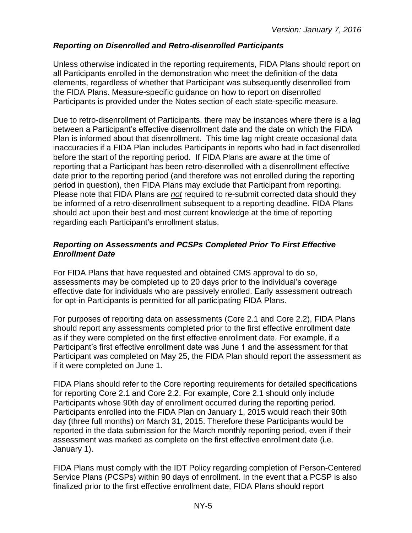## <span id="page-4-0"></span>*Reporting on Disenrolled and Retro-disenrolled Participants*

Unless otherwise indicated in the reporting requirements, FIDA Plans should report on all Participants enrolled in the demonstration who meet the definition of the data elements, regardless of whether that Participant was subsequently disenrolled from the FIDA Plans. Measure-specific guidance on how to report on disenrolled Participants is provided under the Notes section of each state-specific measure.

Due to retro-disenrollment of Participants, there may be instances where there is a lag between a Participant's effective disenrollment date and the date on which the FIDA Plan is informed about that disenrollment. This time lag might create occasional data inaccuracies if a FIDA Plan includes Participants in reports who had in fact disenrolled before the start of the reporting period. If FIDA Plans are aware at the time of reporting that a Participant has been retro-disenrolled with a disenrollment effective date prior to the reporting period (and therefore was not enrolled during the reporting period in question), then FIDA Plans may exclude that Participant from reporting. Please note that FIDA Plans are *not* required to re-submit corrected data should they be informed of a retro-disenrollment subsequent to a reporting deadline. FIDA Plans should act upon their best and most current knowledge at the time of reporting regarding each Participant's enrollment status.

#### <span id="page-4-1"></span>*Reporting on Assessments and PCSPs Completed Prior To First Effective Enrollment Date*

For FIDA Plans that have requested and obtained CMS approval to do so, assessments may be completed up to 20 days prior to the individual's coverage effective date for individuals who are passively enrolled. Early assessment outreach for opt-in Participants is permitted for all participating FIDA Plans.

For purposes of reporting data on assessments (Core 2.1 and Core 2.2), FIDA Plans should report any assessments completed prior to the first effective enrollment date as if they were completed on the first effective enrollment date. For example, if a Participant's first effective enrollment date was June 1 and the assessment for that Participant was completed on May 25, the FIDA Plan should report the assessment as if it were completed on June 1.

FIDA Plans should refer to the Core reporting requirements for detailed specifications for reporting Core 2.1 and Core 2.2. For example, Core 2.1 should only include Participants whose 90th day of enrollment occurred during the reporting period. Participants enrolled into the FIDA Plan on January 1, 2015 would reach their 90th day (three full months) on March 31, 2015. Therefore these Participants would be reported in the data submission for the March monthly reporting period, even if their assessment was marked as complete on the first effective enrollment date (i.e. January 1).

FIDA Plans must comply with the IDT Policy regarding completion of Person-Centered Service Plans (PCSPs) within 90 days of enrollment. In the event that a PCSP is also finalized prior to the first effective enrollment date, FIDA Plans should report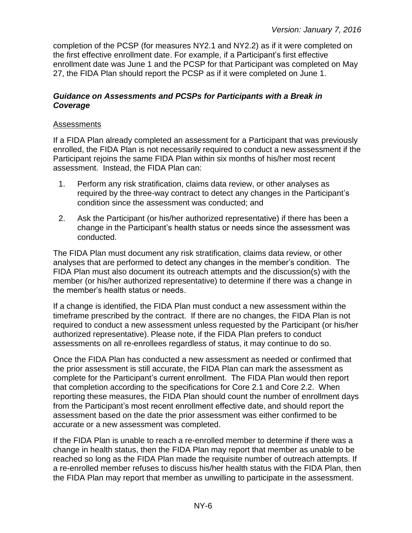completion of the PCSP (for measures NY2.1 and NY2.2) as if it were completed on the first effective enrollment date. For example, if a Participant's first effective enrollment date was June 1 and the PCSP for that Participant was completed on May 27, the FIDA Plan should report the PCSP as if it were completed on June 1.

#### <span id="page-5-0"></span>*Guidance on Assessments and PCSPs for Participants with a Break in Coverage*

#### Assessments

If a FIDA Plan already completed an assessment for a Participant that was previously enrolled, the FIDA Plan is not necessarily required to conduct a new assessment if the Participant rejoins the same FIDA Plan within six months of his/her most recent assessment. Instead, the FIDA Plan can:

- 1. Perform any risk stratification, claims data review, or other analyses as required by the three-way contract to detect any changes in the Participant's condition since the assessment was conducted; and
- 2. Ask the Participant (or his/her authorized representative) if there has been a change in the Participant's health status or needs since the assessment was conducted.

The FIDA Plan must document any risk stratification, claims data review, or other analyses that are performed to detect any changes in the member's condition. The FIDA Plan must also document its outreach attempts and the discussion(s) with the member (or his/her authorized representative) to determine if there was a change in the member's health status or needs.

If a change is identified, the FIDA Plan must conduct a new assessment within the timeframe prescribed by the contract. If there are no changes, the FIDA Plan is not required to conduct a new assessment unless requested by the Participant (or his/her authorized representative). Please note, if the FIDA Plan prefers to conduct assessments on all re-enrollees regardless of status, it may continue to do so.

Once the FIDA Plan has conducted a new assessment as needed or confirmed that the prior assessment is still accurate, the FIDA Plan can mark the assessment as complete for the Participant's current enrollment. The FIDA Plan would then report that completion according to the specifications for Core 2.1 and Core 2.2. When reporting these measures, the FIDA Plan should count the number of enrollment days from the Participant's most recent enrollment effective date, and should report the assessment based on the date the prior assessment was either confirmed to be accurate or a new assessment was completed.

If the FIDA Plan is unable to reach a re-enrolled member to determine if there was a change in health status, then the FIDA Plan may report that member as unable to be reached so long as the FIDA Plan made the requisite number of outreach attempts. If a re-enrolled member refuses to discuss his/her health status with the FIDA Plan, then the FIDA Plan may report that member as unwilling to participate in the assessment.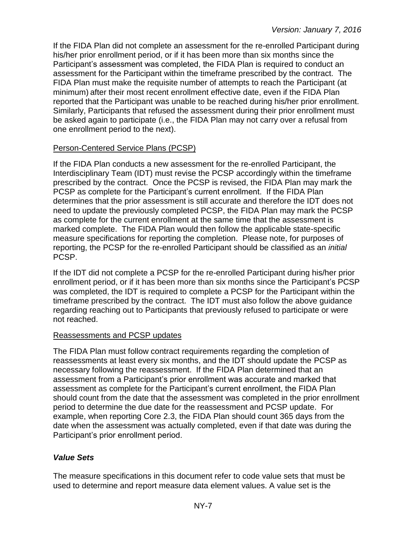If the FIDA Plan did not complete an assessment for the re-enrolled Participant during his/her prior enrollment period, or if it has been more than six months since the Participant's assessment was completed, the FIDA Plan is required to conduct an assessment for the Participant within the timeframe prescribed by the contract. The FIDA Plan must make the requisite number of attempts to reach the Participant (at minimum) after their most recent enrollment effective date, even if the FIDA Plan reported that the Participant was unable to be reached during his/her prior enrollment. Similarly, Participants that refused the assessment during their prior enrollment must be asked again to participate (i.e., the FIDA Plan may not carry over a refusal from one enrollment period to the next).

#### Person-Centered Service Plans (PCSP)

If the FIDA Plan conducts a new assessment for the re-enrolled Participant, the Interdisciplinary Team (IDT) must revise the PCSP accordingly within the timeframe prescribed by the contract. Once the PCSP is revised, the FIDA Plan may mark the PCSP as complete for the Participant's current enrollment. If the FIDA Plan determines that the prior assessment is still accurate and therefore the IDT does not need to update the previously completed PCSP, the FIDA Plan may mark the PCSP as complete for the current enrollment at the same time that the assessment is marked complete. The FIDA Plan would then follow the applicable state-specific measure specifications for reporting the completion. Please note, for purposes of reporting, the PCSP for the re-enrolled Participant should be classified as an *initial* PCSP.

If the IDT did not complete a PCSP for the re-enrolled Participant during his/her prior enrollment period, or if it has been more than six months since the Participant's PCSP was completed, the IDT is required to complete a PCSP for the Participant within the timeframe prescribed by the contract. The IDT must also follow the above guidance regarding reaching out to Participants that previously refused to participate or were not reached.

#### Reassessments and PCSP updates

The FIDA Plan must follow contract requirements regarding the completion of reassessments at least every six months, and the IDT should update the PCSP as necessary following the reassessment. If the FIDA Plan determined that an assessment from a Participant's prior enrollment was accurate and marked that assessment as complete for the Participant's current enrollment, the FIDA Plan should count from the date that the assessment was completed in the prior enrollment period to determine the due date for the reassessment and PCSP update. For example, when reporting Core 2.3, the FIDA Plan should count 365 days from the date when the assessment was actually completed, even if that date was during the Participant's prior enrollment period.

## <span id="page-6-0"></span>*Value Sets*

The measure specifications in this document refer to code value sets that must be used to determine and report measure data element values. A value set is the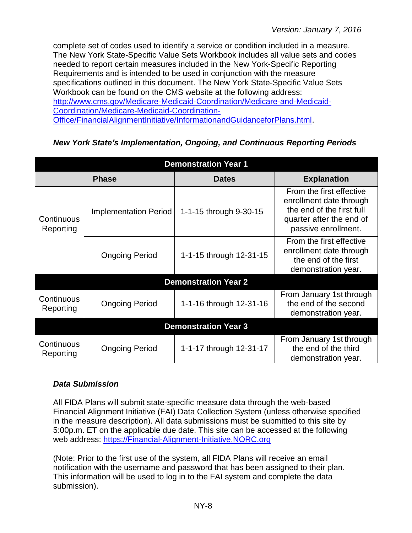complete set of codes used to identify a service or condition included in a measure. The New York State-Specific Value Sets Workbook includes all value sets and codes needed to report certain measures included in the New York-Specific Reporting Requirements and is intended to be used in conjunction with the measure specifications outlined in this document. The New York State-Specific Value Sets Workbook can be found on the CMS website at the following address: [http://www.cms.gov/Medicare-Medicaid-Coordination/Medicare-and-Medicaid-](http://www.cms.gov/Medicare-Medicaid-Coordination/Medicare-and-Medicaid-Coordination/Medicare-Medicaid-Coordination-Office/FinancialAlignmentInitiative/InformationandGuidanceforPlans.html)[Coordination/Medicare-Medicaid-Coordination-](http://www.cms.gov/Medicare-Medicaid-Coordination/Medicare-and-Medicaid-Coordination/Medicare-Medicaid-Coordination-Office/FinancialAlignmentInitiative/InformationandGuidanceforPlans.html)[Office/FinancialAlignmentInitiative/InformationandGuidanceforPlans.html.](http://www.cms.gov/Medicare-Medicaid-Coordination/Medicare-and-Medicaid-Coordination/Medicare-Medicaid-Coordination-Office/FinancialAlignmentInitiative/InformationandGuidanceforPlans.html)

## <span id="page-7-0"></span>*New York State's Implementation, Ongoing, and Continuous Reporting Periods*

| <b>Demonstration Year 1</b> |                              |                             |                                                                                                                                     |  |
|-----------------------------|------------------------------|-----------------------------|-------------------------------------------------------------------------------------------------------------------------------------|--|
|                             | <b>Phase</b>                 | <b>Dates</b>                | <b>Explanation</b>                                                                                                                  |  |
| Continuous<br>Reporting     | <b>Implementation Period</b> | 1-1-15 through 9-30-15      | From the first effective<br>enrollment date through<br>the end of the first full<br>quarter after the end of<br>passive enrollment. |  |
|                             | <b>Ongoing Period</b>        | 1-1-15 through 12-31-15     | From the first effective<br>enrollment date through<br>the end of the first<br>demonstration year.                                  |  |
|                             |                              | <b>Demonstration Year 2</b> |                                                                                                                                     |  |
| Continuous<br>Reporting     | <b>Ongoing Period</b>        | 1-1-16 through 12-31-16     | From January 1st through<br>the end of the second<br>demonstration year.                                                            |  |
| <b>Demonstration Year 3</b> |                              |                             |                                                                                                                                     |  |
| Continuous<br>Reporting     | <b>Ongoing Period</b>        | 1-1-17 through 12-31-17     | From January 1st through<br>the end of the third<br>demonstration year.                                                             |  |

## <span id="page-7-1"></span>*Data Submission*

All FIDA Plans will submit state-specific measure data through the web-based Financial Alignment Initiative (FAI) Data Collection System (unless otherwise specified in the measure description). All data submissions must be submitted to this site by 5:00p.m. ET on the applicable due date. This site can be accessed at the following web address: [https://Financial-Alignment-Initiative.NORC.org](https://financial-alignment-initiative.norc.org/) 

(Note: Prior to the first use of the system, all FIDA Plans will receive an email notification with the username and password that has been assigned to their plan. This information will be used to log in to the FAI system and complete the data submission).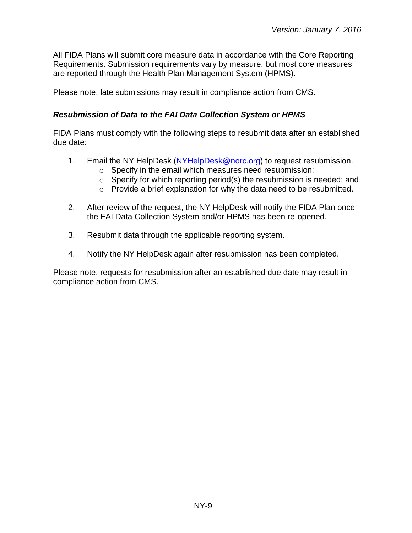All FIDA Plans will submit core measure data in accordance with the Core Reporting Requirements. Submission requirements vary by measure, but most core measures are reported through the Health Plan Management System (HPMS).

Please note, late submissions may result in compliance action from CMS.

#### <span id="page-8-0"></span>*Resubmission of Data to the FAI Data Collection System or HPMS*

FIDA Plans must comply with the following steps to resubmit data after an established due date:

- 1. Email the NY HelpDesk [\(NYHelpDesk@norc.org\)](mailto:NYHelpDesk@norc.org) to request resubmission.
	- o Specify in the email which measures need resubmission;
	- $\circ$  Specify for which reporting period(s) the resubmission is needed; and
	- o Provide a brief explanation for why the data need to be resubmitted.
- 2. After review of the request, the NY HelpDesk will notify the FIDA Plan once the FAI Data Collection System and/or HPMS has been re-opened.
- 3. Resubmit data through the applicable reporting system.
- 4. Notify the NY HelpDesk again after resubmission has been completed.

Please note, requests for resubmission after an established due date may result in compliance action from CMS.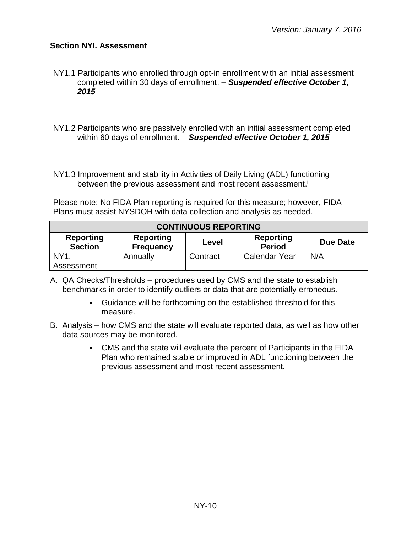#### <span id="page-9-0"></span>**Section NYI. Assessment**

NY1.1 Participants who enrolled through opt-in enrollment with an initial assessment completed within 30 days of enrollment. – *Suspended effective October 1, 2015*

- NY1.2 Participants who are passively enrolled with an initial assessment completed within 60 days of enrollment. – *Suspended effective October 1, 2015*
- NY1.3 Improvement and stability in Activities of Daily Living (ADL) functioning between the previous assessment and most recent assessment.<sup>ii</sup>

Please note: No FIDA Plan reporting is required for this measure; however, FIDA Plans must assist NYSDOH with data collection and analysis as needed.

| <b>CONTINUOUS REPORTING</b>                                                                                                          |          |          |                      |     |  |
|--------------------------------------------------------------------------------------------------------------------------------------|----------|----------|----------------------|-----|--|
| <b>Reporting</b><br><b>Reporting</b><br><b>Reporting</b><br>Due Date<br>Level<br><b>Period</b><br><b>Section</b><br><b>Frequency</b> |          |          |                      |     |  |
| NY <sub>1</sub>                                                                                                                      | Annually | Contract | <b>Calendar Year</b> | N/A |  |
| Assessment                                                                                                                           |          |          |                      |     |  |

- A. QA Checks/Thresholds procedures used by CMS and the state to establish benchmarks in order to identify outliers or data that are potentially erroneous.
	- Guidance will be forthcoming on the established threshold for this measure.
- B. Analysis how CMS and the state will evaluate reported data, as well as how other data sources may be monitored.
	- CMS and the state will evaluate the percent of Participants in the FIDA Plan who remained stable or improved in ADL functioning between the previous assessment and most recent assessment.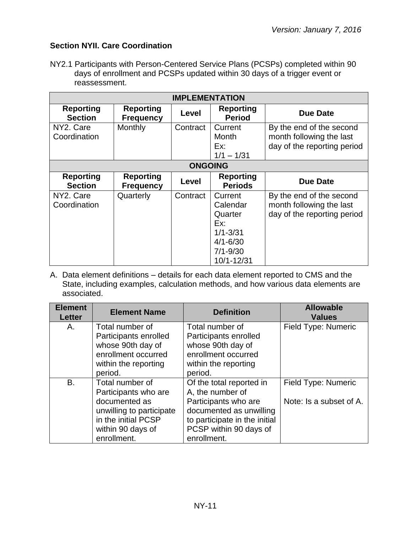## <span id="page-10-0"></span>**Section NYII. Care Coordination**

NY2.1 Participants with Person-Centered Service Plans (PCSPs) completed within 90 days of enrollment and PCSPs updated within 30 days of a trigger event or reassessment.

| <b>IMPLEMENTATION</b>              |                                      |                |                                                                                                     |                                                                                     |
|------------------------------------|--------------------------------------|----------------|-----------------------------------------------------------------------------------------------------|-------------------------------------------------------------------------------------|
| <b>Reporting</b><br><b>Section</b> | <b>Reporting</b><br><b>Frequency</b> | Level          | <b>Reporting</b><br><b>Period</b>                                                                   | Due Date                                                                            |
| NY2. Care<br>Coordination          | Monthly                              | Contract       | Current<br>Month<br>Ex:<br>$1/1 - 1/31$                                                             | By the end of the second<br>month following the last<br>day of the reporting period |
|                                    |                                      | <b>ONGOING</b> |                                                                                                     |                                                                                     |
| <b>Reporting</b><br><b>Section</b> | <b>Reporting</b><br><b>Frequency</b> | Level          | <b>Reporting</b><br><b>Periods</b>                                                                  | <b>Due Date</b>                                                                     |
| NY2. Care<br>Coordination          | Quarterly                            | Contract       | Current<br>Calendar<br>Quarter<br>Ex:<br>$1/1 - 3/31$<br>$4/1 - 6/30$<br>$7/1 - 9/30$<br>10/1-12/31 | By the end of the second<br>month following the last<br>day of the reporting period |

A. Data element definitions – details for each data element reported to CMS and the State, including examples, calculation methods, and how various data elements are associated.

| <b>Element</b><br><b>Letter</b> | <b>Element Name</b>      | <b>Definition</b>             | <b>Allowable</b><br><b>Values</b> |
|---------------------------------|--------------------------|-------------------------------|-----------------------------------|
| А.                              | Total number of          | Total number of               | Field Type: Numeric               |
|                                 | Participants enrolled    | Participants enrolled         |                                   |
|                                 | whose 90th day of        | whose 90th day of             |                                   |
|                                 | enrollment occurred      | enrollment occurred           |                                   |
|                                 | within the reporting     | within the reporting          |                                   |
|                                 | period.                  | period.                       |                                   |
| <b>B.</b>                       | Total number of          | Of the total reported in      | Field Type: Numeric               |
|                                 | Participants who are     | A, the number of              |                                   |
|                                 | documented as            | Participants who are          | Note: Is a subset of A.           |
|                                 | unwilling to participate | documented as unwilling       |                                   |
|                                 | in the initial PCSP      | to participate in the initial |                                   |
|                                 | within 90 days of        | PCSP within 90 days of        |                                   |
|                                 | enrollment.              | enrollment.                   |                                   |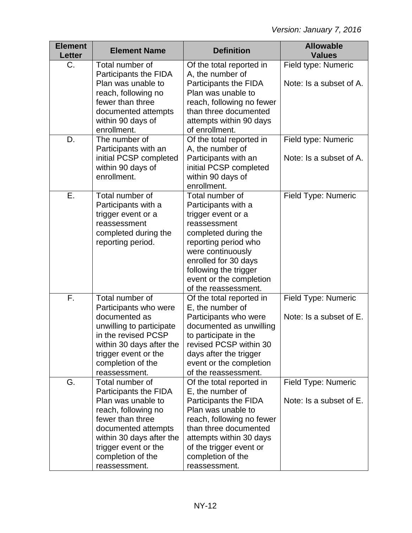| <b>Element</b><br><b>Letter</b> | <b>Element Name</b>                                                                                                                                                                                                        | <b>Definition</b>                                                                                                                                                                                                                                     | <b>Allowable</b><br><b>Values</b>              |
|---------------------------------|----------------------------------------------------------------------------------------------------------------------------------------------------------------------------------------------------------------------------|-------------------------------------------------------------------------------------------------------------------------------------------------------------------------------------------------------------------------------------------------------|------------------------------------------------|
| C.                              | Total number of<br>Participants the FIDA<br>Plan was unable to                                                                                                                                                             | Of the total reported in<br>A, the number of<br>Participants the FIDA                                                                                                                                                                                 | Field type: Numeric<br>Note: Is a subset of A. |
|                                 | reach, following no<br>fewer than three<br>documented attempts<br>within 90 days of<br>enrollment.                                                                                                                         | Plan was unable to<br>reach, following no fewer<br>than three documented<br>attempts within 90 days<br>of enrollment.                                                                                                                                 |                                                |
| D.                              | The number of<br>Participants with an<br>initial PCSP completed<br>within 90 days of<br>enrollment.                                                                                                                        | Of the total reported in<br>A, the number of<br>Participants with an<br>initial PCSP completed<br>within 90 days of<br>enrollment.                                                                                                                    | Field type: Numeric<br>Note: Is a subset of A. |
| Ε.                              | Total number of<br>Participants with a<br>trigger event or a<br>reassessment<br>completed during the<br>reporting period.                                                                                                  | Total number of<br>Participants with a<br>trigger event or a<br>reassessment<br>completed during the<br>reporting period who<br>were continuously<br>enrolled for 30 days<br>following the trigger<br>event or the completion<br>of the reassessment. | Field Type: Numeric                            |
| F.                              | Total number of<br>Participants who were<br>documented as<br>unwilling to participate<br>in the revised PCSP<br>within 30 days after the<br>trigger event or the<br>completion of the<br>reassessment.                     | Of the total reported in<br>E, the number of<br>Participants who were<br>documented as unwilling<br>to participate in the<br>revised PCSP within 30<br>days after the trigger<br>event or the completion<br>of the reassessment.                      | Field Type: Numeric<br>Note: Is a subset of E. |
| G.                              | Total number of<br>Participants the FIDA<br>Plan was unable to<br>reach, following no<br>fewer than three<br>documented attempts<br>within 30 days after the<br>trigger event or the<br>completion of the<br>reassessment. | Of the total reported in<br>E, the number of<br>Participants the FIDA<br>Plan was unable to<br>reach, following no fewer<br>than three documented<br>attempts within 30 days<br>of the trigger event or<br>completion of the<br>reassessment.         | Field Type: Numeric<br>Note: Is a subset of E. |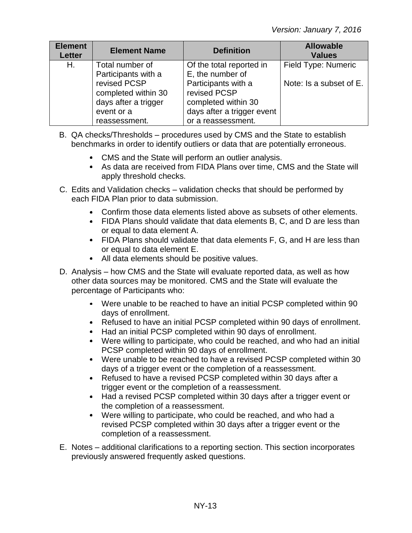| <b>Element</b><br><b>Letter</b> | <b>Element Name</b>                                                                        | <b>Definition</b>                                                                                              | <b>Allowable</b><br><b>Values</b> |
|---------------------------------|--------------------------------------------------------------------------------------------|----------------------------------------------------------------------------------------------------------------|-----------------------------------|
| Η.                              | Total number of<br>Participants with a                                                     | Of the total reported in<br>E, the number of                                                                   | Field Type: Numeric               |
|                                 | revised PCSP<br>completed within 30<br>days after a trigger<br>event or a<br>reassessment. | Participants with a<br>revised PCSP<br>completed within 30<br>days after a trigger event<br>or a reassessment. | Note: Is a subset of E.           |

- B. QA checks/Thresholds procedures used by CMS and the State to establish benchmarks in order to identify outliers or data that are potentially erroneous.
	- CMS and the State will perform an outlier analysis.
	- As data are received from FIDA Plans over time, CMS and the State will apply threshold checks.
- C. Edits and Validation checks validation checks that should be performed by each FIDA Plan prior to data submission.
	- Confirm those data elements listed above as subsets of other elements.
	- FIDA Plans should validate that data elements B, C, and D are less than or equal to data element A.
	- FIDA Plans should validate that data elements F, G, and H are less than or equal to data element E.
	- All data elements should be positive values.
- D. Analysis how CMS and the State will evaluate reported data, as well as how other data sources may be monitored. CMS and the State will evaluate the percentage of Participants who:
	- Were unable to be reached to have an initial PCSP completed within 90 days of enrollment.
	- Refused to have an initial PCSP completed within 90 days of enrollment.
	- Had an initial PCSP completed within 90 days of enrollment.
	- Were willing to participate, who could be reached, and who had an initial PCSP completed within 90 days of enrollment.
	- Were unable to be reached to have a revised PCSP completed within 30 days of a trigger event or the completion of a reassessment.
	- Refused to have a revised PCSP completed within 30 days after a trigger event or the completion of a reassessment.
	- Had a revised PCSP completed within 30 days after a trigger event or the completion of a reassessment.
	- Were willing to participate, who could be reached, and who had a revised PCSP completed within 30 days after a trigger event or the completion of a reassessment.
- E. Notes additional clarifications to a reporting section. This section incorporates previously answered frequently asked questions.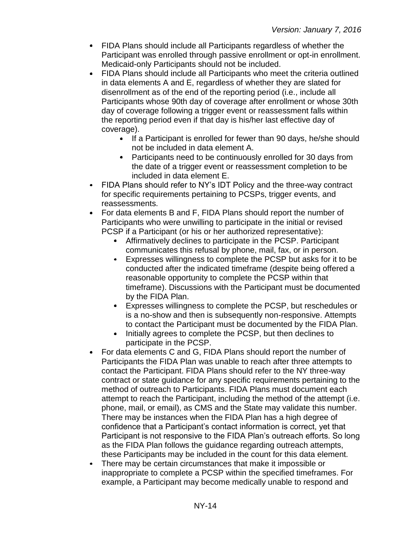- FIDA Plans should include all Participants regardless of whether the Participant was enrolled through passive enrollment or opt-in enrollment. Medicaid-only Participants should not be included.
- FIDA Plans should include all Participants who meet the criteria outlined in data elements A and E, regardless of whether they are slated for disenrollment as of the end of the reporting period (i.e., include all Participants whose 90th day of coverage after enrollment or whose 30th day of coverage following a trigger event or reassessment falls within the reporting period even if that day is his/her last effective day of coverage).
	- If a Participant is enrolled for fewer than 90 days, he/she should not be included in data element A.
	- Participants need to be continuously enrolled for 30 days from the date of a trigger event or reassessment completion to be included in data element E.
- FIDA Plans should refer to NY's IDT Policy and the three-way contract for specific requirements pertaining to PCSPs, trigger events, and reassessments.
- For data elements B and F, FIDA Plans should report the number of  $\bullet$ Participants who were unwilling to participate in the initial or revised PCSP if a Participant (or his or her authorized representative):
	- Affirmatively declines to participate in the PCSP. Participant communicates this refusal by phone, mail, fax, or in person.
	- Expresses willingness to complete the PCSP but asks for it to be conducted after the indicated timeframe (despite being offered a reasonable opportunity to complete the PCSP within that timeframe). Discussions with the Participant must be documented by the FIDA Plan.
	- $\bullet$  . Expresses willingness to complete the PCSP, but reschedules or is a no-show and then is subsequently non-responsive. Attempts to contact the Participant must be documented by the FIDA Plan.
	- Initially agrees to complete the PCSP, but then declines to  $\bullet$ participate in the PCSP.
- For data elements C and G, FIDA Plans should report the number of  $\bullet$ Participants the FIDA Plan was unable to reach after three attempts to contact the Participant. FIDA Plans should refer to the NY three-way contract or state guidance for any specific requirements pertaining to the method of outreach to Participants. FIDA Plans must document each attempt to reach the Participant, including the method of the attempt (i.e. phone, mail, or email), as CMS and the State may validate this number. There may be instances when the FIDA Plan has a high degree of confidence that a Participant's contact information is correct, yet that Participant is not responsive to the FIDA Plan's outreach efforts. So long as the FIDA Plan follows the guidance regarding outreach attempts, these Participants may be included in the count for this data element.
- There may be certain circumstances that make it impossible or inappropriate to complete a PCSP within the specified timeframes. For example, a Participant may become medically unable to respond and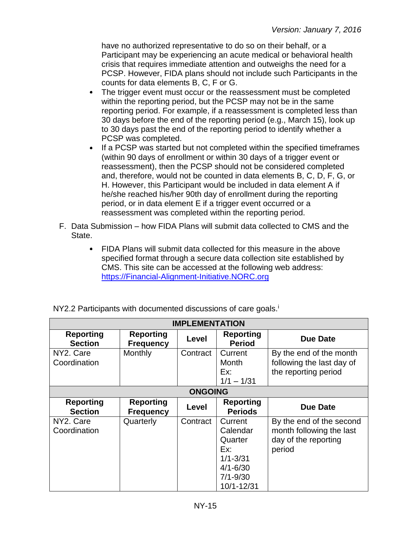have no authorized representative to do so on their behalf, or a Participant may be experiencing an acute medical or behavioral health crisis that requires immediate attention and outweighs the need for a PCSP. However, FIDA plans should not include such Participants in the counts for data elements B, C, F or G.

- The trigger event must occur or the reassessment must be completed  $\bullet$ within the reporting period, but the PCSP may not be in the same reporting period. For example, if a reassessment is completed less than 30 days before the end of the reporting period (e.g., March 15), look up to 30 days past the end of the reporting period to identify whether a PCSP was completed.
- If a PCSP was started but not completed within the specified timeframes (within 90 days of enrollment or within 30 days of a trigger event or reassessment), then the PCSP should not be considered completed and, therefore, would not be counted in data elements B, C, D, F, G, or H. However, this Participant would be included in data element A if he/she reached his/her 90th day of enrollment during the reporting period, or in data element E if a trigger event occurred or a reassessment was completed within the reporting period.
- F. Data Submission how FIDA Plans will submit data collected to CMS and the State.
	- FIDA Plans will submit data collected for this measure in the above specified format through a secure data collection site established by CMS. This site can be accessed at the following web address: [https://Financial-Alignment-Initiative.NORC.org](https://financial-alignment-initiative.norc.org/)

| NY2.2 Participants with documented discussions of care goals. <sup>1</sup> |
|----------------------------------------------------------------------------|
|----------------------------------------------------------------------------|

| <b>IMPLEMENTATION</b>              |                                      |                |                                                                                                     |                                                                                        |
|------------------------------------|--------------------------------------|----------------|-----------------------------------------------------------------------------------------------------|----------------------------------------------------------------------------------------|
| <b>Reporting</b><br><b>Section</b> | <b>Reporting</b><br><b>Frequency</b> | Level          | <b>Reporting</b><br><b>Period</b>                                                                   | <b>Due Date</b>                                                                        |
| NY2. Care<br>Coordination          | Monthly                              | Contract       | Current<br><b>Month</b><br>Ex:<br>$1/1 - 1/31$                                                      | By the end of the month<br>following the last day of<br>the reporting period           |
|                                    |                                      | <b>ONGOING</b> |                                                                                                     |                                                                                        |
| <b>Reporting</b><br><b>Section</b> | <b>Reporting</b><br><b>Frequency</b> | Level          | <b>Reporting</b><br><b>Periods</b>                                                                  | <b>Due Date</b>                                                                        |
| NY2. Care<br>Coordination          | Quarterly                            | Contract       | Current<br>Calendar<br>Quarter<br>Ex:<br>$1/1 - 3/31$<br>$4/1 - 6/30$<br>$7/1 - 9/30$<br>10/1-12/31 | By the end of the second<br>month following the last<br>day of the reporting<br>period |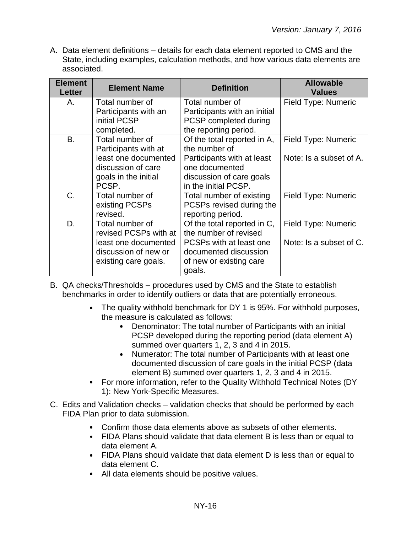A. Data element definitions – details for each data element reported to CMS and the State, including examples, calculation methods, and how various data elements are associated.

| <b>Element</b><br><b>Letter</b> | <b>Element Name</b>                                                                                                    | <b>Definition</b>                                                                                                                                | <b>Allowable</b><br><b>Values</b>              |
|---------------------------------|------------------------------------------------------------------------------------------------------------------------|--------------------------------------------------------------------------------------------------------------------------------------------------|------------------------------------------------|
| Α.                              | Total number of<br>Participants with an<br>initial PCSP<br>completed.                                                  | Total number of<br>Participants with an initial<br>PCSP completed during<br>the reporting period.                                                | Field Type: Numeric                            |
| <b>B.</b>                       | Total number of<br>Participants with at<br>least one documented<br>discussion of care<br>goals in the initial<br>PCSP. | Of the total reported in A,<br>the number of<br>Participants with at least<br>one documented<br>discussion of care goals<br>in the initial PCSP. | Field Type: Numeric<br>Note: Is a subset of A. |
| $C_{\cdot}$                     | Total number of<br>existing PCSPs<br>revised.                                                                          | Total number of existing<br>PCSPs revised during the<br>reporting period.                                                                        | Field Type: Numeric                            |
| D.                              | Total number of<br>revised PCSPs with at<br>least one documented<br>discussion of new or<br>existing care goals.       | Of the total reported in C,<br>the number of revised<br>PCSPs with at least one<br>documented discussion<br>of new or existing care<br>goals.    | Field Type: Numeric<br>Note: Is a subset of C. |

B. QA checks/Thresholds – procedures used by CMS and the State to establish benchmarks in order to identify outliers or data that are potentially erroneous.

- The quality withhold benchmark for DY 1 is 95%. For withhold purposes, the measure is calculated as follows:
	- Denominator: The total number of Participants with an initial PCSP developed during the reporting period (data element A) summed over quarters 1, 2, 3 and 4 in 2015.
	- Numerator: The total number of Participants with at least one documented discussion of care goals in the initial PCSP (data element B) summed over quarters 1, 2, 3 and 4 in 2015.
- For more information, refer to the Quality Withhold Technical Notes (DY 1): New York-Specific Measures.
- C. Edits and Validation checks validation checks that should be performed by each FIDA Plan prior to data submission.
	- Confirm those data elements above as subsets of other elements.
	- FIDA Plans should validate that data element B is less than or equal to data element A.
	- FIDA Plans should validate that data element D is less than or equal to data element C.
	- All data elements should be positive values.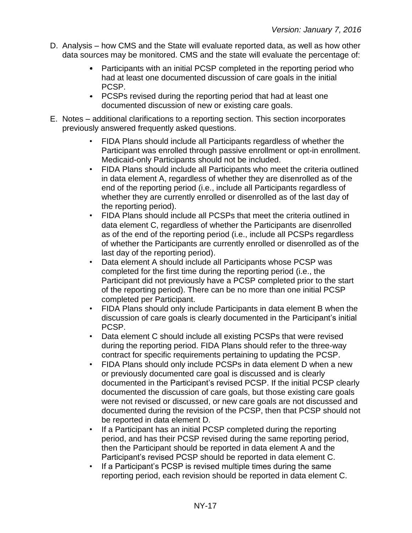- D. Analysis how CMS and the State will evaluate reported data, as well as how other data sources may be monitored. CMS and the state will evaluate the percentage of:
	- Participants with an initial PCSP completed in the reporting period who had at least one documented discussion of care goals in the initial PCSP.
	- PCSPs revised during the reporting period that had at least one documented discussion of new or existing care goals.
- E. Notes additional clarifications to a reporting section. This section incorporates previously answered frequently asked questions.
	- FIDA Plans should include all Participants regardless of whether the Participant was enrolled through passive enrollment or opt-in enrollment. Medicaid-only Participants should not be included.
	- FIDA Plans should include all Participants who meet the criteria outlined in data element A, regardless of whether they are disenrolled as of the end of the reporting period (i.e., include all Participants regardless of whether they are currently enrolled or disenrolled as of the last day of the reporting period).
	- FIDA Plans should include all PCSPs that meet the criteria outlined in data element C, regardless of whether the Participants are disenrolled as of the end of the reporting period (i.e., include all PCSPs regardless of whether the Participants are currently enrolled or disenrolled as of the last day of the reporting period).
	- Data element A should include all Participants whose PCSP was completed for the first time during the reporting period (i.e., the Participant did not previously have a PCSP completed prior to the start of the reporting period). There can be no more than one initial PCSP completed per Participant.
	- FIDA Plans should only include Participants in data element B when the discussion of care goals is clearly documented in the Participant's initial PCSP.
	- Data element C should include all existing PCSPs that were revised during the reporting period. FIDA Plans should refer to the three-way contract for specific requirements pertaining to updating the PCSP.
	- FIDA Plans should only include PCSPs in data element D when a new or previously documented care goal is discussed and is clearly documented in the Participant's revised PCSP. If the initial PCSP clearly documented the discussion of care goals, but those existing care goals were not revised or discussed, or new care goals are not discussed and documented during the revision of the PCSP, then that PCSP should not be reported in data element D.
	- If a Participant has an initial PCSP completed during the reporting period, and has their PCSP revised during the same reporting period, then the Participant should be reported in data element A and the Participant's revised PCSP should be reported in data element C.
	- If a Participant's PCSP is revised multiple times during the same reporting period, each revision should be reported in data element C.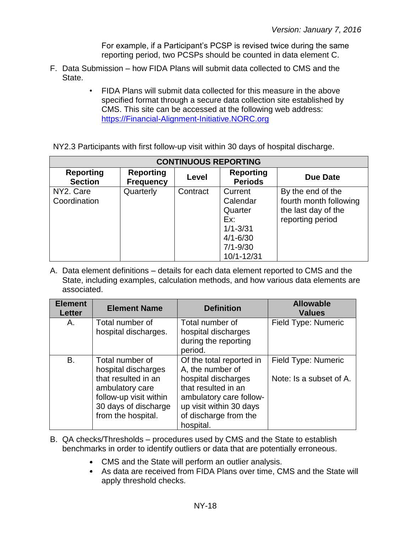For example, if a Participant's PCSP is revised twice during the same reporting period, two PCSPs should be counted in data element C.

- F. Data Submission how FIDA Plans will submit data collected to CMS and the State.
	- FIDA Plans will submit data collected for this measure in the above specified format through a secure data collection site established by CMS. This site can be accessed at the following web address: [https://Financial-Alignment-Initiative.NORC.org](https://financial-alignment-initiative.norc.org/)

NY2.3 Participants with first follow-up visit within 30 days of hospital discharge.

| <b>CONTINUOUS REPORTING</b>        |                                      |          |                                                                                                     |                                                                                        |
|------------------------------------|--------------------------------------|----------|-----------------------------------------------------------------------------------------------------|----------------------------------------------------------------------------------------|
| <b>Reporting</b><br><b>Section</b> | <b>Reporting</b><br><b>Frequency</b> | Level    | <b>Reporting</b><br><b>Periods</b>                                                                  | <b>Due Date</b>                                                                        |
| NY2. Care<br>Coordination          | Quarterly                            | Contract | Current<br>Calendar<br>Quarter<br>Ex:<br>$1/1 - 3/31$<br>$4/1 - 6/30$<br>$7/1 - 9/30$<br>10/1-12/31 | By the end of the<br>fourth month following<br>the last day of the<br>reporting period |

A. Data element definitions – details for each data element reported to CMS and the State, including examples, calculation methods, and how various data elements are associated.

| <b>Element</b><br><b>Letter</b> | <b>Element Name</b>                                                                                                                                      | <b>Definition</b>                                                                                                                                                                      | <b>Allowable</b><br><b>Values</b>              |
|---------------------------------|----------------------------------------------------------------------------------------------------------------------------------------------------------|----------------------------------------------------------------------------------------------------------------------------------------------------------------------------------------|------------------------------------------------|
| Α.                              | Total number of<br>hospital discharges.                                                                                                                  | Total number of<br>hospital discharges<br>during the reporting<br>period.                                                                                                              | Field Type: Numeric                            |
| B.                              | Total number of<br>hospital discharges<br>that resulted in an<br>ambulatory care<br>follow-up visit within<br>30 days of discharge<br>from the hospital. | Of the total reported in<br>A, the number of<br>hospital discharges<br>that resulted in an<br>ambulatory care follow-<br>up visit within 30 days<br>of discharge from the<br>hospital. | Field Type: Numeric<br>Note: Is a subset of A. |

- B. QA checks/Thresholds procedures used by CMS and the State to establish benchmarks in order to identify outliers or data that are potentially erroneous.
	- CMS and the State will perform an outlier analysis.
	- As data are received from FIDA Plans over time, CMS and the State will apply threshold checks.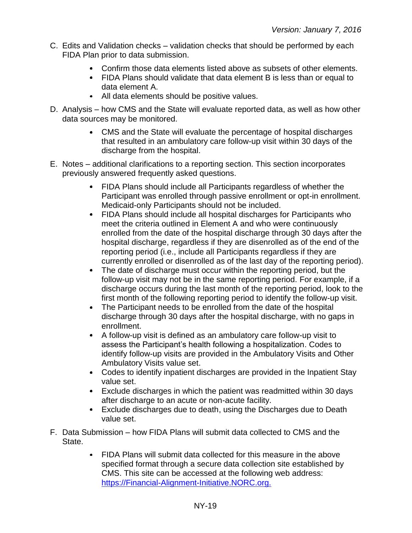- C. Edits and Validation checks validation checks that should be performed by each FIDA Plan prior to data submission.
	- Confirm those data elements listed above as subsets of other elements.
	- FIDA Plans should validate that data element B is less than or equal to data element A.
	- All data elements should be positive values.
- D. Analysis how CMS and the State will evaluate reported data, as well as how other data sources may be monitored.
	- CMS and the State will evaluate the percentage of hospital discharges that resulted in an ambulatory care follow-up visit within 30 days of the discharge from the hospital.
- E. Notes additional clarifications to a reporting section. This section incorporates previously answered frequently asked questions.
	- FIDA Plans should include all Participants regardless of whether the Participant was enrolled through passive enrollment or opt-in enrollment. Medicaid-only Participants should not be included.
	- FIDA Plans should include all hospital discharges for Participants who meet the criteria outlined in Element A and who were continuously enrolled from the date of the hospital discharge through 30 days after the hospital discharge, regardless if they are disenrolled as of the end of the reporting period (i.e., include all Participants regardless if they are currently enrolled or disenrolled as of the last day of the reporting period).
	- The date of discharge must occur within the reporting period, but the follow-up visit may not be in the same reporting period. For example, if a discharge occurs during the last month of the reporting period, look to the first month of the following reporting period to identify the follow-up visit.
	- The Participant needs to be enrolled from the date of the hospital discharge through 30 days after the hospital discharge, with no gaps in enrollment.
	- A follow-up visit is defined as an ambulatory care follow-up visit to assess the Participant's health following a hospitalization. Codes to identify follow-up visits are provided in the Ambulatory Visits and Other Ambulatory Visits value set.
	- Codes to identify inpatient discharges are provided in the Inpatient Stay value set.
	- Exclude discharges in which the patient was readmitted within 30 days after discharge to an acute or non-acute facility.
	- Exclude discharges due to death, using the Discharges due to Death value set.
- F. Data Submission how FIDA Plans will submit data collected to CMS and the State.
	- FIDA Plans will submit data collected for this measure in the above specified format through a secure data collection site established by CMS. This site can be accessed at the following web address: [https://Financial-Alignment-Initiative.NORC.org.](https://financial-alignment-initiative.norc.org/)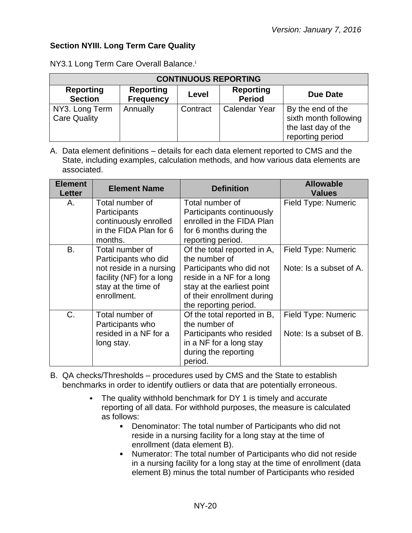## <span id="page-19-0"></span>**Section NYIII. Long Term Care Quality**

| <b>CONTINUOUS REPORTING</b>           |                                   |          |                      |                                                                                       |  |
|---------------------------------------|-----------------------------------|----------|----------------------|---------------------------------------------------------------------------------------|--|
| <b>Reporting</b><br><b>Section</b>    | <b>Reporting</b><br><b>Period</b> | Due Date |                      |                                                                                       |  |
| NY3. Long Term<br><b>Care Quality</b> | Annually                          | Contract | <b>Calendar Year</b> | By the end of the<br>sixth month following<br>the last day of the<br>reporting period |  |

NY3.1 Long Term Care Overall Balance.<sup>i</sup>

A. Data element definitions – details for each data element reported to CMS and the State, including examples, calculation methods, and how various data elements are associated.

| <b>Element</b><br><b>Letter</b> | <b>Element Name</b>                                                                                                                             | <b>Definition</b>                                                                                                                                                                                               | <b>Allowable</b><br><b>Values</b>              |
|---------------------------------|-------------------------------------------------------------------------------------------------------------------------------------------------|-----------------------------------------------------------------------------------------------------------------------------------------------------------------------------------------------------------------|------------------------------------------------|
| Α.                              | Total number of<br>Participants<br>continuously enrolled<br>in the FIDA Plan for 6                                                              | Total number of<br>Participants continuously<br>enrolled in the FIDA Plan<br>for 6 months during the                                                                                                            | Field Type: Numeric                            |
| <b>B.</b>                       | months.<br>Total number of<br>Participants who did<br>not reside in a nursing<br>facility (NF) for a long<br>stay at the time of<br>enrollment. | reporting period.<br>Of the total reported in A,<br>the number of<br>Participants who did not<br>reside in a NF for a long<br>stay at the earliest point<br>of their enrollment during<br>the reporting period. | Field Type: Numeric<br>Note: Is a subset of A. |
| C.                              | Total number of<br>Participants who<br>resided in a NF for a<br>long stay.                                                                      | Of the total reported in B,<br>the number of<br>Participants who resided<br>in a NF for a long stay<br>during the reporting<br>period.                                                                          | Field Type: Numeric<br>Note: Is a subset of B. |

B. QA checks/Thresholds – procedures used by CMS and the State to establish benchmarks in order to identify outliers or data that are potentially erroneous.

- The quality withhold benchmark for DY 1 is timely and accurate reporting of all data. For withhold purposes, the measure is calculated as follows:
	- Denominator: The total number of Participants who did not reside in a nursing facility for a long stay at the time of enrollment (data element B).
	- $\bullet$  . Numerator: The total number of Participants who did not reside in a nursing facility for a long stay at the time of enrollment (data element B) minus the total number of Participants who resided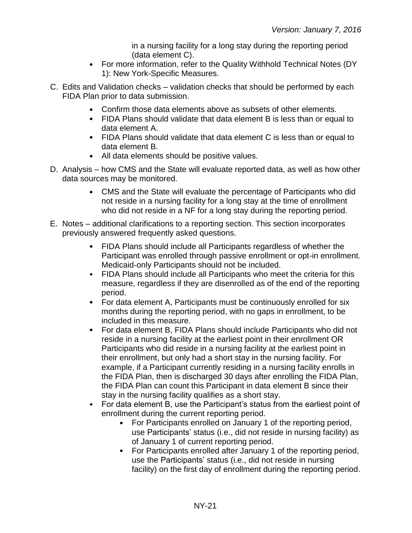in a nursing facility for a long stay during the reporting period (data element C).

- For more information, refer to the Quality Withhold Technical Notes (DY 1): New York-Specific Measures.
- C. Edits and Validation checks validation checks that should be performed by each FIDA Plan prior to data submission.
	- Confirm those data elements above as subsets of other elements.
	- FIDA Plans should validate that data element B is less than or equal to data element A.
	- FIDA Plans should validate that data element C is less than or equal to data element B.
	- All data elements should be positive values.
- D. Analysis how CMS and the State will evaluate reported data, as well as how other data sources may be monitored.
	- CMS and the State will evaluate the percentage of Participants who did not reside in a nursing facility for a long stay at the time of enrollment who did not reside in a NF for a long stay during the reporting period.
- E. Notes additional clarifications to a reporting section. This section incorporates previously answered frequently asked questions.
	- FIDA Plans should include all Participants regardless of whether the Participant was enrolled through passive enrollment or opt-in enrollment. Medicaid-only Participants should not be included.
	- FIDA Plans should include all Participants who meet the criteria for this measure, regardless if they are disenrolled as of the end of the reporting period.
	- For data element A, Participants must be continuously enrolled for six months during the reporting period, with no gaps in enrollment, to be included in this measure.
	- For data element B, FIDA Plans should include Participants who did not reside in a nursing facility at the earliest point in their enrollment OR Participants who did reside in a nursing facility at the earliest point in their enrollment, but only had a short stay in the nursing facility. For example, if a Participant currently residing in a nursing facility enrolls in the FIDA Plan, then is discharged 30 days after enrolling the FIDA Plan, the FIDA Plan can count this Participant in data element B since their stay in the nursing facility qualifies as a short stay.
	- For data element B, use the Participant's status from the earliest point of enrollment during the current reporting period.
		- For Participants enrolled on January 1 of the reporting period, use Participants' status (i.e., did not reside in nursing facility) as of January 1 of current reporting period.
		- For Participants enrolled after January 1 of the reporting period, use the Participants' status (i.e., did not reside in nursing facility) on the first day of enrollment during the reporting period.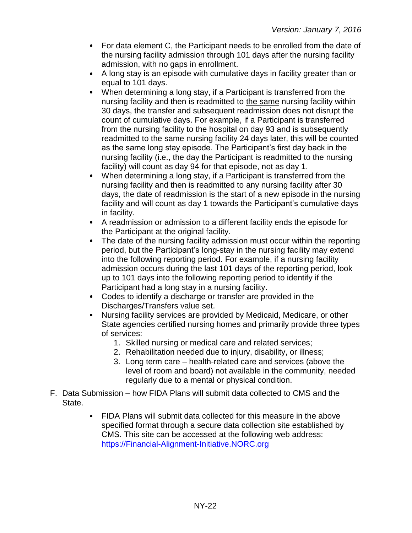- For data element C, the Participant needs to be enrolled from the date of the nursing facility admission through 101 days after the nursing facility admission, with no gaps in enrollment.
- A long stay is an episode with cumulative days in facility greater than or equal to 101 days.
- When determining a long stay, if a Participant is transferred from the nursing facility and then is readmitted to the same nursing facility within 30 days, the transfer and subsequent readmission does not disrupt the count of cumulative days. For example, if a Participant is transferred from the nursing facility to the hospital on day 93 and is subsequently readmitted to the same nursing facility 24 days later, this will be counted as the same long stay episode. The Participant's first day back in the nursing facility (i.e., the day the Participant is readmitted to the nursing facility) will count as day 94 for that episode, not as day 1.
- When determining a long stay, if a Participant is transferred from the  $\bullet$ nursing facility and then is readmitted to any nursing facility after 30 days, the date of readmission is the start of a new episode in the nursing facility and will count as day 1 towards the Participant's cumulative days in facility.
- A readmission or admission to a different facility ends the episode for the Participant at the original facility.
- The date of the nursing facility admission must occur within the reporting  $\bullet$ period, but the Participant's long-stay in the nursing facility may extend into the following reporting period. For example, if a nursing facility admission occurs during the last 101 days of the reporting period, look up to 101 days into the following reporting period to identify if the Participant had a long stay in a nursing facility.
- Codes to identify a discharge or transfer are provided in the Discharges/Transfers value set.
- Nursing facility services are provided by Medicaid, Medicare, or other State agencies certified nursing homes and primarily provide three types of services:
	- 1. Skilled nursing or medical care and related services;
	- 2. Rehabilitation needed due to injury, disability, or illness;
	- 3. Long term care health-related care and services (above the level of room and board) not available in the community, needed regularly due to a mental or physical condition.
- F. Data Submission how FIDA Plans will submit data collected to CMS and the State.
	- FIDA Plans will submit data collected for this measure in the above  $\bullet$ specified format through a secure data collection site established by CMS. This site can be accessed at the following web address: [https://Financial-Alignment-Initiative.NORC.org](https://financial-alignment-initiative.norc.org/)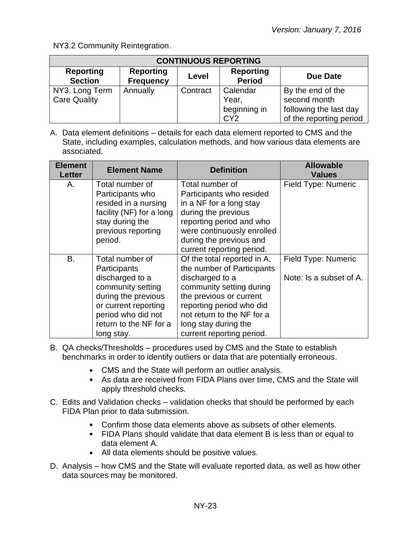NY3.2 Community Reintegration.

| <b>CONTINUOUS REPORTING</b>           |                                      |                                   |                                                      |                                                                                        |  |
|---------------------------------------|--------------------------------------|-----------------------------------|------------------------------------------------------|----------------------------------------------------------------------------------------|--|
| <b>Reporting</b><br><b>Section</b>    | <b>Reporting</b><br><b>Frequency</b> | <b>Reporting</b><br><b>Period</b> | Due Date                                             |                                                                                        |  |
| NY3. Long Term<br><b>Care Quality</b> | Annually                             | Contract                          | Calendar<br>Year,<br>beginning in<br>CY <sub>2</sub> | By the end of the<br>second month<br>following the last day<br>of the reporting period |  |

A. Data element definitions – details for each data element reported to CMS and the State, including examples, calculation methods, and how various data elements are associated.

| <b>Element</b><br><b>Letter</b> | <b>Element Name</b>      | <b>Definition</b>           | <b>Allowable</b><br><b>Values</b> |
|---------------------------------|--------------------------|-----------------------------|-----------------------------------|
| Α.                              | Total number of          | Total number of             | Field Type: Numeric               |
|                                 | Participants who         | Participants who resided    |                                   |
|                                 | resided in a nursing     | in a NF for a long stay     |                                   |
|                                 | facility (NF) for a long | during the previous         |                                   |
|                                 | stay during the          | reporting period and who    |                                   |
|                                 | previous reporting       | were continuously enrolled  |                                   |
|                                 | period.                  | during the previous and     |                                   |
|                                 |                          | current reporting period.   |                                   |
| <b>B.</b>                       | Total number of          | Of the total reported in A, | Field Type: Numeric               |
|                                 | Participants             | the number of Participants  |                                   |
|                                 | discharged to a          | discharged to a             | Note: Is a subset of A.           |
|                                 | community setting        | community setting during    |                                   |
|                                 | during the previous      | the previous or current     |                                   |
|                                 | or current reporting     | reporting period who did    |                                   |
|                                 | period who did not       | not return to the NF for a  |                                   |
|                                 | return to the NF for a   | long stay during the        |                                   |
|                                 | long stay.               | current reporting period.   |                                   |

- B. QA checks/Thresholds procedures used by CMS and the State to establish benchmarks in order to identify outliers or data that are potentially erroneous.
	- CMS and the State will perform an outlier analysis.
	- As data are received from FIDA Plans over time, CMS and the State will apply threshold checks.
- C. Edits and Validation checks validation checks that should be performed by each FIDA Plan prior to data submission.
	- Confirm those data elements above as subsets of other elements.
	- FIDA Plans should validate that data element B is less than or equal to data element A.
	- All data elements should be positive values.
- D. Analysis how CMS and the State will evaluate reported data, as well as how other data sources may be monitored.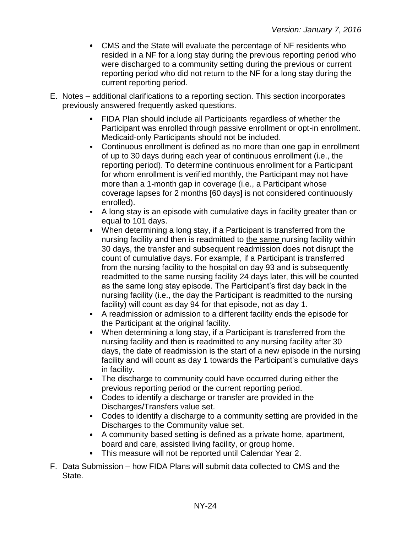- CMS and the State will evaluate the percentage of NF residents who resided in a NF for a long stay during the previous reporting period who were discharged to a community setting during the previous or current reporting period who did not return to the NF for a long stay during the current reporting period.
- E. Notes additional clarifications to a reporting section. This section incorporates previously answered frequently asked questions.
	- FIDA Plan should include all Participants regardless of whether the Participant was enrolled through passive enrollment or opt-in enrollment. Medicaid-only Participants should not be included.
	- Continuous enrollment is defined as no more than one gap in enrollment of up to 30 days during each year of continuous enrollment (i.e., the reporting period). To determine continuous enrollment for a Participant for whom enrollment is verified monthly, the Participant may not have more than a 1-month gap in coverage (i.e., a Participant whose coverage lapses for 2 months [60 days] is not considered continuously enrolled).
	- A long stay is an episode with cumulative days in facility greater than or equal to 101 days.
	- When determining a long stay, if a Participant is transferred from the nursing facility and then is readmitted to the same nursing facility within 30 days, the transfer and subsequent readmission does not disrupt the count of cumulative days. For example, if a Participant is transferred from the nursing facility to the hospital on day 93 and is subsequently readmitted to the same nursing facility 24 days later, this will be counted as the same long stay episode. The Participant's first day back in the nursing facility (i.e., the day the Participant is readmitted to the nursing facility) will count as day 94 for that episode, not as day 1.
	- A readmission or admission to a different facility ends the episode for the Participant at the original facility.
	- When determining a long stay, if a Participant is transferred from the nursing facility and then is readmitted to any nursing facility after 30 days, the date of readmission is the start of a new episode in the nursing facility and will count as day 1 towards the Participant's cumulative days in facility.
	- The discharge to community could have occurred during either the previous reporting period or the current reporting period.
	- Codes to identify a discharge or transfer are provided in the Discharges/Transfers value set.
	- Codes to identify a discharge to a community setting are provided in the Discharges to the Community value set.
	- A community based setting is defined as a private home, apartment, board and care, assisted living facility, or group home.
	- This measure will not be reported until Calendar Year 2.
- F. Data Submission how FIDA Plans will submit data collected to CMS and the State.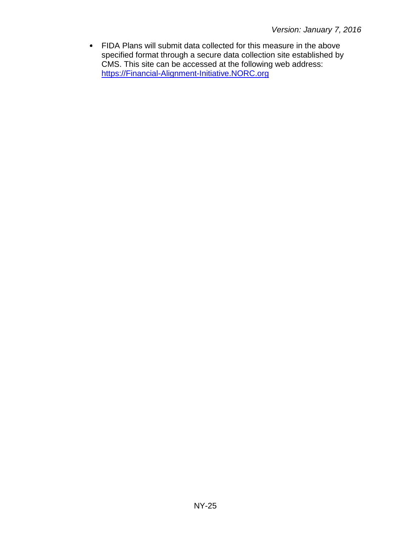FIDA Plans will submit data collected for this measure in the above specified format through a secure data collection site established by CMS. This site can be accessed at the following web address: [https://Financial-Alignment-Initiative.NORC.org](https://financial-alignment-initiative.norc.org/)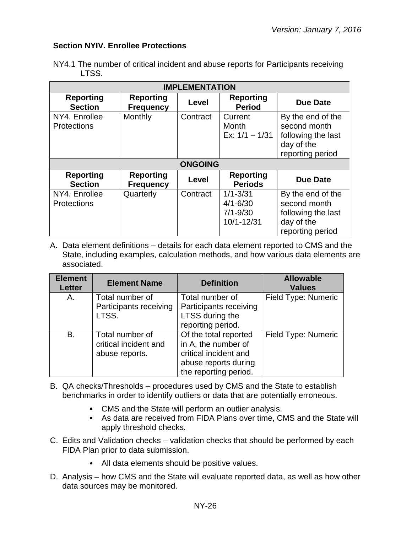## <span id="page-25-0"></span>**Section NYIV. Enrollee Protections**

|       | NY4.1 The number of critical incident and abuse reports for Participants receiving |  |  |
|-------|------------------------------------------------------------------------------------|--|--|
| LTSS. |                                                                                    |  |  |

| <b>IMPLEMENTATION</b>               |                                      |                |                                                            |                                                                                           |  |
|-------------------------------------|--------------------------------------|----------------|------------------------------------------------------------|-------------------------------------------------------------------------------------------|--|
| <b>Reporting</b><br><b>Section</b>  | <b>Reporting</b><br><b>Frequency</b> | Level          | <b>Reporting</b><br><b>Period</b>                          | <b>Due Date</b>                                                                           |  |
| NY4. Enrollee<br><b>Protections</b> | Monthly                              | Contract       | Current<br><b>Month</b><br>Ex: $1/1 - 1/31$                | By the end of the<br>second month<br>following the last<br>day of the<br>reporting period |  |
|                                     |                                      | <b>ONGOING</b> |                                                            |                                                                                           |  |
| <b>Reporting</b><br><b>Section</b>  | <b>Reporting</b><br><b>Frequency</b> | Level          | <b>Reporting</b><br><b>Periods</b>                         | <b>Due Date</b>                                                                           |  |
| NY4. Enrollee<br><b>Protections</b> | Quarterly                            | Contract       | $1/1 - 3/31$<br>$4/1 - 6/30$<br>$7/1 - 9/30$<br>10/1-12/31 | By the end of the<br>second month<br>following the last<br>day of the<br>reporting period |  |

A. Data element definitions – details for each data element reported to CMS and the State, including examples, calculation methods, and how various data elements are associated.

| <b>Element</b><br><b>Letter</b> | <b>Element Name</b>                                        | <b>Definition</b>                                                                                                      | <b>Allowable</b><br><b>Values</b> |
|---------------------------------|------------------------------------------------------------|------------------------------------------------------------------------------------------------------------------------|-----------------------------------|
| Α.                              | Total number of<br>Participants receiving<br>LTSS.         | Total number of<br>Participants receiving<br>LTSS during the<br>reporting period.                                      | Field Type: Numeric               |
| В.                              | Total number of<br>critical incident and<br>abuse reports. | Of the total reported<br>in A, the number of<br>critical incident and<br>abuse reports during<br>the reporting period. | Field Type: Numeric               |

- B. QA checks/Thresholds procedures used by CMS and the State to establish benchmarks in order to identify outliers or data that are potentially erroneous.
	- CMS and the State will perform an outlier analysis.
	- As data are received from FIDA Plans over time, CMS and the State will apply threshold checks.
- C. Edits and Validation checks validation checks that should be performed by each FIDA Plan prior to data submission.
	- All data elements should be positive values.
- D. Analysis how CMS and the State will evaluate reported data, as well as how other data sources may be monitored.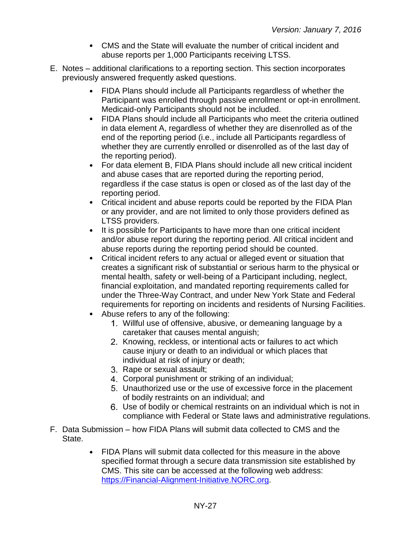- CMS and the State will evaluate the number of critical incident and abuse reports per 1,000 Participants receiving LTSS.
- E. Notes additional clarifications to a reporting section. This section incorporates previously answered frequently asked questions.
	- FIDA Plans should include all Participants regardless of whether the Participant was enrolled through passive enrollment or opt-in enrollment. Medicaid-only Participants should not be included.
	- FIDA Plans should include all Participants who meet the criteria outlined in data element A, regardless of whether they are disenrolled as of the end of the reporting period (i.e., include all Participants regardless of whether they are currently enrolled or disenrolled as of the last day of the reporting period).
	- For data element B, FIDA Plans should include all new critical incident and abuse cases that are reported during the reporting period, regardless if the case status is open or closed as of the last day of the reporting period.
	- Critical incident and abuse reports could be reported by the FIDA Plan or any provider, and are not limited to only those providers defined as LTSS providers.
	- It is possible for Participants to have more than one critical incident and/or abuse report during the reporting period. All critical incident and abuse reports during the reporting period should be counted.
	- Critical incident refers to any actual or alleged event or situation that creates a significant risk of substantial or serious harm to the physical or mental health, safety or well-being of a Participant including, neglect, financial exploitation, and mandated reporting requirements called for under the Three-Way Contract, and under New York State and Federal requirements for reporting on incidents and residents of Nursing Facilities.
	- Abuse refers to any of the following:
		- Willful use of offensive, abusive, or demeaning language by a caretaker that causes mental anguish;
		- 2. Knowing, reckless, or intentional acts or failures to act which cause injury or death to an individual or which places that individual at risk of injury or death;
		- 3. Rape or sexual assault;
		- 4. Corporal punishment or striking of an individual;
		- Unauthorized use or the use of excessive force in the placement of bodily restraints on an individual; and
		- Use of bodily or chemical restraints on an individual which is not in compliance with Federal or State laws and administrative regulations.
- F. Data Submission how FIDA Plans will submit data collected to CMS and the State.
	- FIDA Plans will submit data collected for this measure in the above specified format through a secure data transmission site established by CMS. This site can be accessed at the following web address: [https://Financial-Alignment-Initiative.NORC.org.](https://financial-alignment-initiative.norc.org/)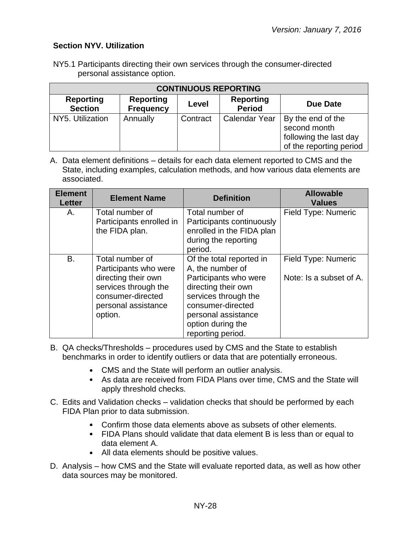## <span id="page-27-0"></span>**Section NYV. Utilization**

NY5.1 Participants directing their own services through the consumer-directed personal assistance option.

| <b>CONTINUOUS REPORTING</b>        |          |          |                      |                                                                                        |  |
|------------------------------------|----------|----------|----------------------|----------------------------------------------------------------------------------------|--|
| <b>Reporting</b><br><b>Section</b> | Due Date |          |                      |                                                                                        |  |
| NY5. Utilization                   | Annually | Contract | <b>Calendar Year</b> | By the end of the<br>second month<br>following the last day<br>of the reporting period |  |

A. Data element definitions – details for each data element reported to CMS and the State, including examples, calculation methods, and how various data elements are associated.

| <b>Element</b><br><b>Letter</b> | <b>Element Name</b>                                                                                                                            | <b>Definition</b>                                                                                                                                                                                          | <b>Allowable</b><br><b>Values</b>              |
|---------------------------------|------------------------------------------------------------------------------------------------------------------------------------------------|------------------------------------------------------------------------------------------------------------------------------------------------------------------------------------------------------------|------------------------------------------------|
| А.                              | Total number of<br>Participants enrolled in<br>the FIDA plan.                                                                                  | Total number of<br>Participants continuously<br>enrolled in the FIDA plan<br>during the reporting<br>period.                                                                                               | Field Type: Numeric                            |
| В.                              | Total number of<br>Participants who were<br>directing their own<br>services through the<br>consumer-directed<br>personal assistance<br>option. | Of the total reported in<br>A, the number of<br>Participants who were<br>directing their own<br>services through the<br>consumer-directed<br>personal assistance<br>option during the<br>reporting period. | Field Type: Numeric<br>Note: Is a subset of A. |

- B. QA checks/Thresholds procedures used by CMS and the State to establish benchmarks in order to identify outliers or data that are potentially erroneous.
	- CMS and the State will perform an outlier analysis.
	- As data are received from FIDA Plans over time, CMS and the State will apply threshold checks.
- C. Edits and Validation checks validation checks that should be performed by each FIDA Plan prior to data submission.
	- Confirm those data elements above as subsets of other elements.
	- FIDA Plans should validate that data element B is less than or equal to data element A.
	- All data elements should be positive values.
- D. Analysis how CMS and the State will evaluate reported data, as well as how other data sources may be monitored.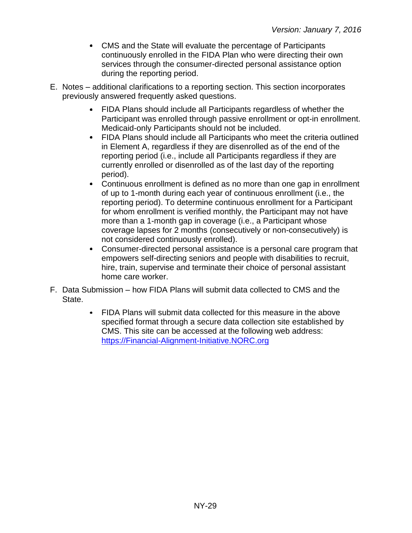- CMS and the State will evaluate the percentage of Participants continuously enrolled in the FIDA Plan who were directing their own services through the consumer-directed personal assistance option during the reporting period.
- E. Notes additional clarifications to a reporting section. This section incorporates previously answered frequently asked questions.
	- FIDA Plans should include all Participants regardless of whether the Participant was enrolled through passive enrollment or opt-in enrollment. Medicaid-only Participants should not be included.
	- FIDA Plans should include all Participants who meet the criteria outlined in Element A, regardless if they are disenrolled as of the end of the reporting period (i.e., include all Participants regardless if they are currently enrolled or disenrolled as of the last day of the reporting period).
	- Continuous enrollment is defined as no more than one gap in enrollment of up to 1-month during each year of continuous enrollment (i.e., the reporting period). To determine continuous enrollment for a Participant for whom enrollment is verified monthly, the Participant may not have more than a 1-month gap in coverage (i.e., a Participant whose coverage lapses for 2 months (consecutively or non-consecutively) is not considered continuously enrolled).
	- Consumer-directed personal assistance is a personal care program that empowers self-directing seniors and people with disabilities to recruit, hire, train, supervise and terminate their choice of personal assistant home care worker.
- F. Data Submission how FIDA Plans will submit data collected to CMS and the State.
	- FIDA Plans will submit data collected for this measure in the above specified format through a secure data collection site established by CMS. This site can be accessed at the following web address: [https://Financial-Alignment-Initiative.NORC.org](https://financial-alignment-initiative.norc.org/)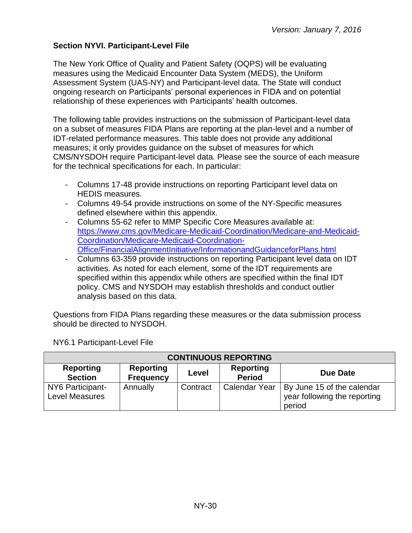## <span id="page-29-0"></span>**Section NYVI. Participant-Level File**

The New York Office of Quality and Patient Safety (OQPS) will be evaluating measures using the Medicaid Encounter Data System (MEDS), the Uniform Assessment System (UAS-NY) and Participant-level data. The State will conduct ongoing research on Participants' personal experiences in FIDA and on potential relationship of these experiences with Participants' health outcomes.

The following table provides instructions on the submission of Participant-level data on a subset of measures FIDA Plans are reporting at the plan-level and a number of IDT-related performance measures. This table does not provide any additional measures; it only provides guidance on the subset of measures for which CMS/NYSDOH require Participant-level data. Please see the source of each measure for the technical specifications for each. In particular:

- Columns 17-48 provide instructions on reporting Participant level data on HEDIS measures.
- Columns 49-54 provide instructions on some of the NY-Specific measures defined elsewhere within this appendix.
- Columns 55-62 refer to MMP Specific Core Measures available at: [https://www.cms.gov/Medicare-Medicaid-Coordination/Medicare-and-Medicaid-](https://www.cms.gov/Medicare-Medicaid-Coordination/Medicare-and-Medicaid-Coordination/Medicare-Medicaid-Coordination-Office/FinancialAlignmentInitiative/InformationandGuidanceforPlans.html)[Coordination/Medicare-Medicaid-Coordination-](https://www.cms.gov/Medicare-Medicaid-Coordination/Medicare-and-Medicaid-Coordination/Medicare-Medicaid-Coordination-Office/FinancialAlignmentInitiative/InformationandGuidanceforPlans.html)[Office/FinancialAlignmentInitiative/InformationandGuidanceforPlans.html](https://www.cms.gov/Medicare-Medicaid-Coordination/Medicare-and-Medicaid-Coordination/Medicare-Medicaid-Coordination-Office/FinancialAlignmentInitiative/InformationandGuidanceforPlans.html)
- Columns 63-359 provide instructions on reporting Participant level data on IDT activities. As noted for each element, some of the IDT requirements are specified within this appendix while others are specified within the final IDT policy. CMS and NYSDOH may establish thresholds and conduct outlier analysis based on this data.

Questions from FIDA Plans regarding these measures or the data submission process should be directed to NYSDOH.

| <b>CONTINUOUS REPORTING</b>                                                                                                          |          |          |                      |                                                                      |  |
|--------------------------------------------------------------------------------------------------------------------------------------|----------|----------|----------------------|----------------------------------------------------------------------|--|
| <b>Reporting</b><br><b>Reporting</b><br><b>Reporting</b><br>Due Date<br>Level<br><b>Period</b><br><b>Section</b><br><b>Frequency</b> |          |          |                      |                                                                      |  |
| NY6 Participant-<br><b>Level Measures</b>                                                                                            | Annually | Contract | <b>Calendar Year</b> | By June 15 of the calendar<br>year following the reporting<br>period |  |

NY6.1 Participant-Level File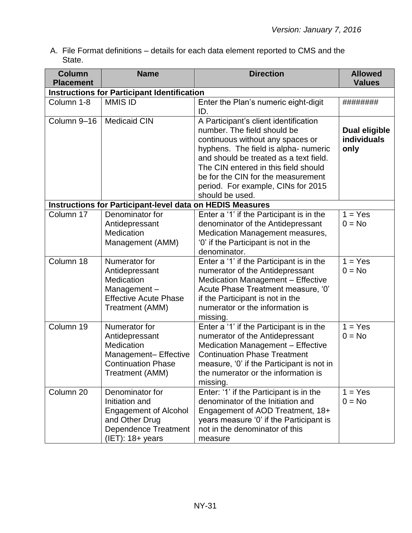A. File Format definitions – details for each data element reported to CMS and the State.

| <b>Column</b><br><b>Placement</b> | <b>Name</b>                                                                                                                               | <b>Direction</b>                                                                                                                                                                                                                                                                                                                  | <b>Allowed</b><br><b>Values</b>             |
|-----------------------------------|-------------------------------------------------------------------------------------------------------------------------------------------|-----------------------------------------------------------------------------------------------------------------------------------------------------------------------------------------------------------------------------------------------------------------------------------------------------------------------------------|---------------------------------------------|
|                                   | <b>Instructions for Participant Identification</b>                                                                                        |                                                                                                                                                                                                                                                                                                                                   |                                             |
| Column 1-8                        | <b>MMIS ID</b>                                                                                                                            | Enter the Plan's numeric eight-digit<br>ID.                                                                                                                                                                                                                                                                                       | ########                                    |
| Column 9-16                       | <b>Medicaid CIN</b>                                                                                                                       | A Participant's client identification<br>number. The field should be<br>continuous without any spaces or<br>hyphens. The field is alpha- numeric<br>and should be treated as a text field.<br>The CIN entered in this field should<br>be for the CIN for the measurement<br>period. For example, CINs for 2015<br>should be used. | <b>Dual eligible</b><br>individuals<br>only |
|                                   | <b>Instructions for Participant-level data on HEDIS Measures</b>                                                                          |                                                                                                                                                                                                                                                                                                                                   |                                             |
| Column 17                         | Denominator for<br>Antidepressant<br>Medication<br>Management (AMM)                                                                       | Enter a '1' if the Participant is in the<br>denominator of the Antidepressant<br>Medication Management measures,<br>'0' if the Participant is not in the<br>denominator.                                                                                                                                                          | $1 = Yes$<br>$0 = No$                       |
| Column 18                         | Numerator for<br>Antidepressant<br>Medication<br>Management-<br><b>Effective Acute Phase</b><br>Treatment (AMM)                           | Enter a '1' if the Participant is in the<br>numerator of the Antidepressant<br>Medication Management - Effective<br>Acute Phase Treatment measure, '0'<br>if the Participant is not in the<br>numerator or the information is<br>missing.                                                                                         | $1 = Yes$<br>$0 = No$                       |
| Column 19                         | Numerator for<br>Antidepressant<br>Medication<br>Management- Effective<br><b>Continuation Phase</b><br>Treatment (AMM)                    | Enter a '1' if the Participant is in the<br>numerator of the Antidepressant<br><b>Medication Management - Effective</b><br><b>Continuation Phase Treatment</b><br>measure, '0' if the Participant is not in<br>the numerator or the information is<br>missing.                                                                    | $1 = Yes$<br>$0 = No$                       |
| Column 20                         | Denominator for<br>Initiation and<br><b>Engagement of Alcohol</b><br>and Other Drug<br><b>Dependence Treatment</b><br>$(IET)$ : 18+ years | Enter: '1' if the Participant is in the<br>denominator of the Initiation and<br>Engagement of AOD Treatment, 18+<br>years measure '0' if the Participant is<br>not in the denominator of this<br>measure                                                                                                                          | $1 = Yes$<br>$0 = No$                       |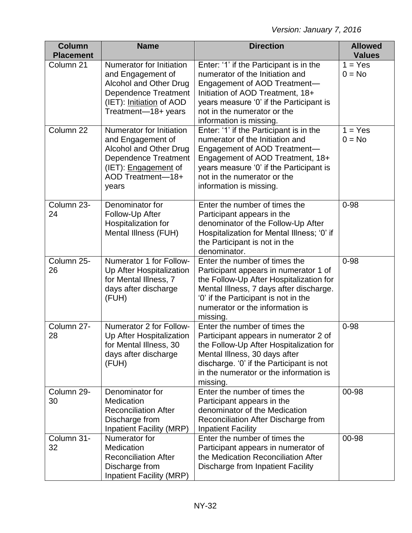| <b>Column</b><br><b>Placement</b> | <b>Name</b>                                                                                                                                                         | <b>Direction</b>                                                                                                                                                                                                                                     | <b>Allowed</b><br><b>Values</b> |
|-----------------------------------|---------------------------------------------------------------------------------------------------------------------------------------------------------------------|------------------------------------------------------------------------------------------------------------------------------------------------------------------------------------------------------------------------------------------------------|---------------------------------|
| Column 21                         | Numerator for Initiation<br>and Engagement of<br>Alcohol and Other Drug<br><b>Dependence Treatment</b><br>(IET): Initiation of AOD<br>Treatment-18+ years           | Enter: '1' if the Participant is in the<br>numerator of the Initiation and<br>Engagement of AOD Treatment-<br>Initiation of AOD Treatment, 18+<br>years measure '0' if the Participant is<br>not in the numerator or the<br>information is missing.  | $1 = Yes$<br>$0 = No$           |
| Column 22                         | Numerator for Initiation<br>and Engagement of<br>Alcohol and Other Drug<br><b>Dependence Treatment</b><br>(IET): <b>Engagement</b> of<br>AOD Treatment-18+<br>years | Enter: '1' if the Participant is in the<br>numerator of the Initiation and<br>Engagement of AOD Treatment-<br>Engagement of AOD Treatment, 18+<br>years measure '0' if the Participant is<br>not in the numerator or the<br>information is missing.  | $1 = Yes$<br>$0 = No$           |
| Column 23-<br>24                  | Denominator for<br>Follow-Up After<br>Hospitalization for<br>Mental Illness (FUH)                                                                                   | Enter the number of times the<br>Participant appears in the<br>denominator of the Follow-Up After<br>Hospitalization for Mental Illness; '0' if<br>the Participant is not in the<br>denominator.                                                     | $0 - 98$                        |
| Column 25-<br>26                  | Numerator 1 for Follow-<br>Up After Hospitalization<br>for Mental Illness, 7<br>days after discharge<br>(FUH)                                                       | Enter the number of times the<br>Participant appears in numerator 1 of<br>the Follow-Up After Hospitalization for<br>Mental Illness, 7 days after discharge.<br>'0' if the Participant is not in the<br>numerator or the information is<br>missing.  | $0 - 98$                        |
| Column 27-<br>28                  | Numerator 2 for Follow-<br>Up After Hospitalization<br>for Mental Illness, 30<br>days after discharge<br>(FUH)                                                      | Enter the number of times the<br>Participant appears in numerator 2 of<br>the Follow-Up After Hospitalization for<br>Mental Illness, 30 days after<br>discharge. '0' if the Participant is not<br>in the numerator or the information is<br>missing. | $0 - 98$                        |
| Column 29-<br>30                  | Denominator for<br>Medication<br><b>Reconciliation After</b><br>Discharge from<br>Inpatient Facility (MRP)                                                          | Enter the number of times the<br>Participant appears in the<br>denominator of the Medication<br>Reconciliation After Discharge from<br><b>Inpatient Facility</b>                                                                                     | 00-98                           |
| Column 31-<br>32                  | Numerator for<br>Medication<br><b>Reconciliation After</b><br>Discharge from<br>Inpatient Facility (MRP)                                                            | Enter the number of times the<br>Participant appears in numerator of<br>the Medication Reconciliation After<br>Discharge from Inpatient Facility                                                                                                     | 00-98                           |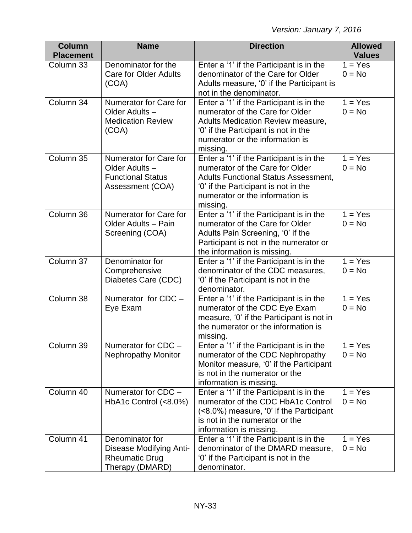| <b>Column</b><br><b>Placement</b> | <b>Name</b>                                                                              | <b>Direction</b>                                                                                                                                                                                                  | <b>Allowed</b><br><b>Values</b> |  |  |
|-----------------------------------|------------------------------------------------------------------------------------------|-------------------------------------------------------------------------------------------------------------------------------------------------------------------------------------------------------------------|---------------------------------|--|--|
| Column 33                         | Denominator for the<br><b>Care for Older Adults</b><br>(COA)                             | Enter a '1' if the Participant is in the<br>denominator of the Care for Older<br>Adults measure, '0' if the Participant is<br>not in the denominator.                                                             | $1 = Yes$<br>$0 = No$           |  |  |
| Column 34                         | Numerator for Care for<br>Older Adults -<br><b>Medication Review</b><br>(COA)            | Enter a '1' if the Participant is in the<br>numerator of the Care for Older<br>Adults Medication Review measure,<br>'0' if the Participant is not in the<br>numerator or the information is<br>missing.           | $1 = Yes$<br>$0 = No$           |  |  |
| Column 35                         | Numerator for Care for<br>Older Adults -<br><b>Functional Status</b><br>Assessment (COA) | Enter a '1' if the Participant is in the<br>numerator of the Care for Older<br><b>Adults Functional Status Assessment,</b><br>'0' if the Participant is not in the<br>numerator or the information is<br>missing. | $1 = Yes$<br>$0 = No$           |  |  |
| Column 36                         | Numerator for Care for<br>Older Adults - Pain<br>Screening (COA)                         | Enter a '1' if the Participant is in the<br>numerator of the Care for Older<br>Adults Pain Screening, '0' if the<br>Participant is not in the numerator or<br>the information is missing.                         | $1 = Yes$<br>$0 = No$           |  |  |
| Column 37                         | Denominator for<br>Comprehensive<br>Diabetes Care (CDC)                                  | Enter a '1' if the Participant is in the<br>denominator of the CDC measures,<br>'0' if the Participant is not in the<br>denominator.                                                                              | $1 = Yes$<br>$0 = No$           |  |  |
| Column 38                         | Numerator for CDC -<br>Eye Exam                                                          | Enter a '1' if the Participant is in the<br>numerator of the CDC Eye Exam<br>measure, '0' if the Participant is not in<br>the numerator or the information is<br>missing.                                         | $1 = Yes$<br>$0 = No$           |  |  |
| Column 39                         | Numerator for CDC -<br><b>Nephropathy Monitor</b>                                        | Enter a '1' if the Participant is in the<br>numerator of the CDC Nephropathy<br>Monitor measure, '0' if the Participant<br>is not in the numerator or the<br>information is missing.                              | $1 = Yes$<br>$0 = No$           |  |  |
| Column 40                         | Numerator for CDC -<br>HbA1c Control $(<8.0\%)$                                          | Enter a '1' if the Participant is in the<br>$1 = Yes$<br>numerator of the CDC HbA1c Control<br>$0 = No$<br>(<br>is not in the numerator or the<br>information is missing.                                         |                                 |  |  |
| Column 41                         | Denominator for<br>Disease Modifying Anti-<br><b>Rheumatic Drug</b><br>Therapy (DMARD)   | $1 = Yes$<br>Enter a '1' if the Participant is in the<br>denominator of the DMARD measure,<br>$0 = No$<br>'0' if the Participant is not in the<br>denominator.                                                    |                                 |  |  |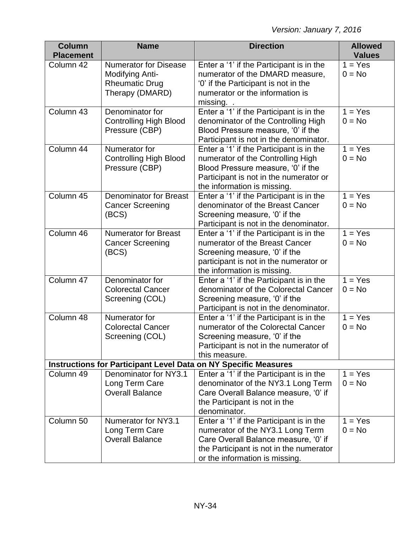| <b>Column</b><br><b>Placement</b>                                      | <b>Name</b>                                                                                 | <b>Direction</b><br><b>Allowed</b><br><b>Values</b>                                                                                                                                               |                       |  |  |
|------------------------------------------------------------------------|---------------------------------------------------------------------------------------------|---------------------------------------------------------------------------------------------------------------------------------------------------------------------------------------------------|-----------------------|--|--|
| Column 42                                                              | <b>Numerator for Disease</b><br>Modifying Anti-<br><b>Rheumatic Drug</b><br>Therapy (DMARD) | Enter a '1' if the Participant is in the<br>numerator of the DMARD measure,<br>'0' if the Participant is not in the<br>numerator or the information is<br>missing. .                              | $1 = Yes$<br>$0 = No$ |  |  |
| Column 43                                                              | Denominator for<br><b>Controlling High Blood</b><br>Pressure (CBP)                          | Enter a '1' if the Participant is in the<br>denominator of the Controlling High<br>Blood Pressure measure, '0' if the<br>Participant is not in the denominator.                                   | $1 = Yes$<br>$0 = No$ |  |  |
| Column 44                                                              | Numerator for<br><b>Controlling High Blood</b><br>Pressure (CBP)                            | Enter a '1' if the Participant is in the<br>numerator of the Controlling High<br>Blood Pressure measure, '0' if the<br>Participant is not in the numerator or<br>the information is missing.      | $1 = Yes$<br>$0 = No$ |  |  |
| Column 45                                                              | <b>Denominator for Breast</b><br><b>Cancer Screening</b><br>(BCS)                           | Enter a '1' if the Participant is in the<br>denominator of the Breast Cancer<br>Screening measure, '0' if the<br>Participant is not in the denominator.                                           | $1 = Yes$<br>$0 = No$ |  |  |
| Column 46                                                              | <b>Numerator for Breast</b><br><b>Cancer Screening</b><br>(BCS)                             | Enter a '1' if the Participant is in the<br>numerator of the Breast Cancer<br>Screening measure, '0' if the<br>participant is not in the numerator or<br>the information is missing.              | $1 = Yes$<br>$0 = No$ |  |  |
| Column 47                                                              | Denominator for<br><b>Colorectal Cancer</b><br>Screening (COL)                              | Enter a '1' if the Participant is in the<br>denominator of the Colorectal Cancer<br>Screening measure, '0' if the<br>Participant is not in the denominator.                                       | $1 = Yes$<br>$0 = No$ |  |  |
| Column 48                                                              | Numerator for<br><b>Colorectal Cancer</b><br>Screening (COL)                                | Enter a '1' if the Participant is in the<br>numerator of the Colorectal Cancer<br>Screening measure, '0' if the<br>Participant is not in the numerator of<br>this measure.                        | $1 = Yes$<br>$0 = No$ |  |  |
| <b>Instructions for Participant Level Data on NY Specific Measures</b> |                                                                                             |                                                                                                                                                                                                   |                       |  |  |
| Column 49                                                              | Denominator for NY3.1<br>Long Term Care<br><b>Overall Balance</b>                           | Enter a '1' if the Participant is in the<br>denominator of the NY3.1 Long Term<br>Care Overall Balance measure, '0' if<br>the Participant is not in the<br>denominator.                           | $1 = Yes$<br>$0 = No$ |  |  |
| Column 50                                                              | Numerator for NY3.1<br>Long Term Care<br><b>Overall Balance</b>                             | Enter a '1' if the Participant is in the<br>numerator of the NY3.1 Long Term<br>Care Overall Balance measure, '0' if<br>the Participant is not in the numerator<br>or the information is missing. | $1 = Yes$<br>$0 = No$ |  |  |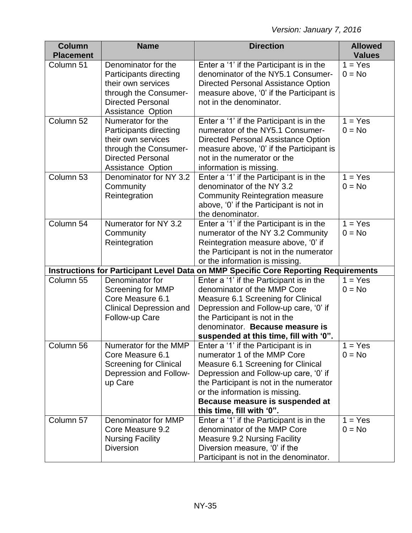| <b>Column</b><br><b>Placement</b> | <b>Name</b>                                                                                                                                                                    | <b>Direction</b>                                                                                                                                                                                                                                                                                | <b>Allowed</b><br><b>Values</b> |
|-----------------------------------|--------------------------------------------------------------------------------------------------------------------------------------------------------------------------------|-------------------------------------------------------------------------------------------------------------------------------------------------------------------------------------------------------------------------------------------------------------------------------------------------|---------------------------------|
| Column 51                         | Denominator for the<br>Participants directing<br>their own services<br>through the Consumer-<br><b>Directed Personal</b>                                                       | Enter a '1' if the Participant is in the<br>denominator of the NY5.1 Consumer-<br>Directed Personal Assistance Option<br>measure above, '0' if the Participant is<br>not in the denominator.                                                                                                    | $1 = Yes$<br>$0 = No$           |
| Column 52                         | <b>Assistance Option</b><br>Numerator for the<br>Participants directing<br>their own services<br>through the Consumer-<br><b>Directed Personal</b><br><b>Assistance Option</b> | Enter a '1' if the Participant is in the<br>numerator of the NY5.1 Consumer-<br>Directed Personal Assistance Option<br>measure above, '0' if the Participant is<br>not in the numerator or the<br>information is missing.                                                                       | $1 = Yes$<br>$0 = No$           |
| Column 53                         | Denominator for NY 3.2<br>Community<br>Reintegration                                                                                                                           | Enter a '1' if the Participant is in the<br>denominator of the NY 3.2<br><b>Community Reintegration measure</b><br>above, '0' if the Participant is not in<br>the denominator.                                                                                                                  | $1 = Yes$<br>$0 = No$           |
| Column 54                         | Numerator for NY 3.2<br>Community<br>Reintegration                                                                                                                             | Enter a '1' if the Participant is in the<br>numerator of the NY 3.2 Community<br>Reintegration measure above, '0' if<br>the Participant is not in the numerator<br>or the information is missing.                                                                                               | $1 = Yes$<br>$0 = No$           |
|                                   | Instructions for Participant Level Data on MMP Specific Core Reporting Requirements                                                                                            |                                                                                                                                                                                                                                                                                                 |                                 |
| Column 55                         | Denominator for<br><b>Screening for MMP</b><br>Core Measure 6.1<br><b>Clinical Depression and</b><br>Follow-up Care                                                            | Enter a '1' if the Participant is in the<br>denominator of the MMP Core<br>Measure 6.1 Screening for Clinical<br>Depression and Follow-up care, '0' if<br>the Participant is not in the<br>denominator. Because measure is<br>suspended at this time, fill with '0".                            | $1 = Yes$<br>$0 = No$           |
| Column 56                         | Numerator for the MMP<br>Core Measure 6.1<br><b>Screening for Clinical</b><br>Depression and Follow-<br>up Care                                                                | Enter a '1' if the Participant is in<br>numerator 1 of the MMP Core<br>Measure 6.1 Screening for Clinical<br>Depression and Follow-up care, '0' if<br>the Participant is not in the numerator<br>or the information is missing.<br>Because measure is suspended at<br>this time, fill with '0". | $1 = Yes$<br>$0 = No$           |
| Column 57                         | Denominator for MMP<br>Core Measure 9.2<br><b>Nursing Facility</b><br><b>Diversion</b>                                                                                         | Enter a '1' if the Participant is in the<br>denominator of the MMP Core<br><b>Measure 9.2 Nursing Facility</b><br>Diversion measure, '0' if the<br>Participant is not in the denominator.                                                                                                       | $1 = Yes$<br>$0 = No$           |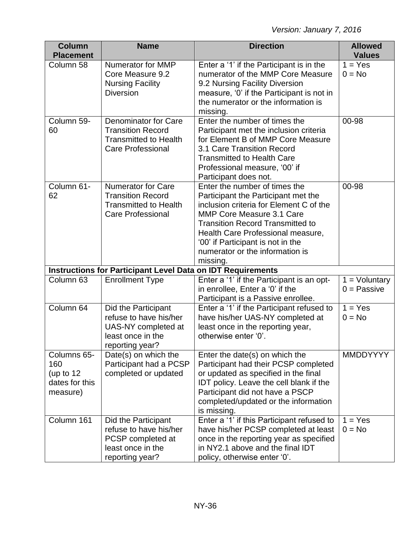| <b>Column</b><br><b>Placement</b>                               | <b>Name</b>                                                                                                         | <b>Direction</b>                                                                                                                                                                                                                                                                                                 | <b>Allowed</b><br><b>Values</b>  |
|-----------------------------------------------------------------|---------------------------------------------------------------------------------------------------------------------|------------------------------------------------------------------------------------------------------------------------------------------------------------------------------------------------------------------------------------------------------------------------------------------------------------------|----------------------------------|
| Column 58                                                       | <b>Numerator for MMP</b><br>Core Measure 9.2<br><b>Nursing Facility</b><br><b>Diversion</b>                         | Enter a '1' if the Participant is in the<br>numerator of the MMP Core Measure<br>9.2 Nursing Facility Diversion<br>measure, '0' if the Participant is not in<br>the numerator or the information is<br>missing.                                                                                                  | $1 = Yes$<br>$0 = No$            |
| Column 59-<br>60                                                | <b>Denominator for Care</b><br><b>Transition Record</b><br><b>Transmitted to Health</b><br><b>Care Professional</b> | Enter the number of times the<br>Participant met the inclusion criteria<br>for Element B of MMP Core Measure<br>3.1 Care Transition Record<br><b>Transmitted to Health Care</b><br>Professional measure, '00' if<br>Participant does not.                                                                        | 00-98                            |
| Column 61-<br>62                                                | <b>Numerator for Care</b><br><b>Transition Record</b><br><b>Transmitted to Health</b><br><b>Care Professional</b>   | Enter the number of times the<br>Participant the Participant met the<br>inclusion criteria for Element C of the<br>MMP Core Measure 3.1 Care<br><b>Transition Record Transmitted to</b><br>Health Care Professional measure,<br>'00' if Participant is not in the<br>numerator or the information is<br>missing. | 00-98                            |
|                                                                 | <b>Instructions for Participant Level Data on IDT Requirements</b>                                                  |                                                                                                                                                                                                                                                                                                                  |                                  |
| Column 63                                                       | <b>Enrollment Type</b>                                                                                              | Enter a '1' if the Participant is an opt-<br>in enrollee, Enter a '0' if the<br>Participant is a Passive enrollee.                                                                                                                                                                                               | $1 =$ Voluntary<br>$0 =$ Passive |
| Column 64                                                       | Did the Participant<br>refuse to have his/her<br>UAS-NY completed at<br>least once in the<br>reporting year?        | Enter a '1' if the Participant refused to<br>have his/her UAS-NY completed at<br>least once in the reporting year,<br>otherwise enter '0'.                                                                                                                                                                       | $1 = Yes$<br>$0 = No$            |
| Columns 65-<br>160<br>(up to $12$<br>dates for this<br>measure) | Date(s) on which the<br>Participant had a PCSP<br>completed or updated                                              | Enter the date(s) on which the<br>Participant had their PCSP completed<br>or updated as specified in the final<br>IDT policy. Leave the cell blank if the<br>Participant did not have a PSCP<br>completed/updated or the information<br>is missing.                                                              | <b>MMDDYYYY</b>                  |
| Column 161                                                      | Did the Participant<br>refuse to have his/her<br>PCSP completed at<br>least once in the<br>reporting year?          | Enter a '1' if this Participant refused to<br>have his/her PCSP completed at least<br>once in the reporting year as specified<br>in NY2.1 above and the final IDT<br>policy, otherwise enter '0'.                                                                                                                | $1 = Yes$<br>$0 = No$            |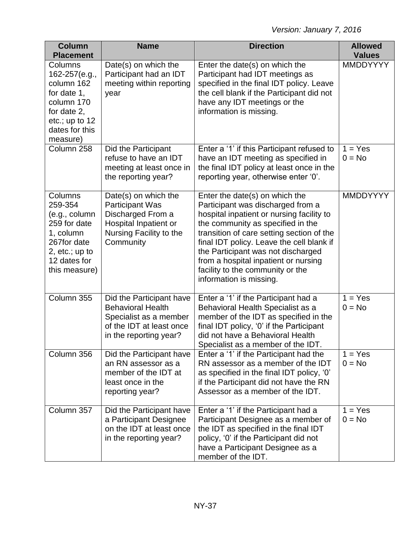| <b>Column</b><br><b>Placement</b>                                                                                                    | <b>Name</b>                                                                                                                          | <b>Direction</b>                                                                                                                                                                                                                                                                                                                                                                             | <b>Allowed</b><br><b>Values</b> |
|--------------------------------------------------------------------------------------------------------------------------------------|--------------------------------------------------------------------------------------------------------------------------------------|----------------------------------------------------------------------------------------------------------------------------------------------------------------------------------------------------------------------------------------------------------------------------------------------------------------------------------------------------------------------------------------------|---------------------------------|
| Columns<br>162-257(e.g.,<br>column 162<br>for date 1,<br>column 170<br>for date 2,<br>etc.; up to $12$<br>dates for this<br>measure) | Date(s) on which the<br>Participant had an IDT<br>meeting within reporting<br>year                                                   | Enter the date(s) on which the<br>Participant had IDT meetings as<br>specified in the final IDT policy. Leave<br>the cell blank if the Participant did not<br>have any IDT meetings or the<br>information is missing.                                                                                                                                                                        | <b>MMDDYYYY</b>                 |
| Column 258                                                                                                                           | Did the Participant<br>refuse to have an IDT<br>meeting at least once in<br>the reporting year?                                      | Enter a '1' if this Participant refused to<br>have an IDT meeting as specified in<br>the final IDT policy at least once in the<br>reporting year, otherwise enter '0'.                                                                                                                                                                                                                       | $1 = Yes$<br>$0 = No$           |
| Columns<br>259-354<br>(e.g., column<br>259 for date<br>1, column<br>267for date<br>2, $etc.; up to$<br>12 dates for<br>this measure) | Date(s) on which the<br><b>Participant Was</b><br>Discharged From a<br>Hospital Inpatient or<br>Nursing Facility to the<br>Community | Enter the date(s) on which the<br>Participant was discharged from a<br>hospital inpatient or nursing facility to<br>the community as specified in the<br>transition of care setting section of the<br>final IDT policy. Leave the cell blank if<br>the Participant was not discharged<br>from a hospital inpatient or nursing<br>facility to the community or the<br>information is missing. | <b>MMDDYYYY</b>                 |
| Column 355                                                                                                                           | Did the Participant have<br><b>Behavioral Health</b><br>Specialist as a member<br>of the IDT at least once<br>in the reporting year? | Enter a '1' if the Participant had a<br>Behavioral Health Specialist as a<br>member of the IDT as specified in the<br>final IDT policy, '0' if the Participant<br>did not have a Behavioral Health<br>Specialist as a member of the IDT.                                                                                                                                                     | $1 = Yes$<br>$0 = No$           |
| Column 356                                                                                                                           | Did the Participant have<br>an RN assessor as a<br>member of the IDT at<br>least once in the<br>reporting year?                      | Enter a '1' if the Participant had the<br>RN assessor as a member of the IDT<br>as specified in the final IDT policy, '0'<br>if the Participant did not have the RN<br>Assessor as a member of the IDT.                                                                                                                                                                                      | $1 = Yes$<br>$0 = No$           |
| Column 357                                                                                                                           | Did the Participant have<br>a Participant Designee<br>on the IDT at least once<br>in the reporting year?                             | Enter a '1' if the Participant had a<br>Participant Designee as a member of<br>the IDT as specified in the final IDT<br>policy, '0' if the Participant did not<br>have a Participant Designee as a<br>member of the IDT.                                                                                                                                                                     | $1 = Yes$<br>$0 = No$           |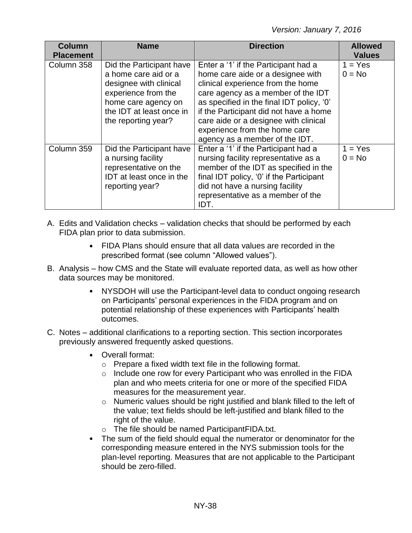*Version: January 7, 2016*

| <b>Column</b><br><b>Placement</b> | <b>Name</b>                                                                                                                                                                 | <b>Direction</b>                                                                                                                                                                                                                                                                                                                                        | <b>Allowed</b><br><b>Values</b> |
|-----------------------------------|-----------------------------------------------------------------------------------------------------------------------------------------------------------------------------|---------------------------------------------------------------------------------------------------------------------------------------------------------------------------------------------------------------------------------------------------------------------------------------------------------------------------------------------------------|---------------------------------|
| Column 358                        | Did the Participant have<br>a home care aid or a<br>designee with clinical<br>experience from the<br>home care agency on<br>the IDT at least once in<br>the reporting year? | Enter a '1' if the Participant had a<br>home care aide or a designee with<br>clinical experience from the home<br>care agency as a member of the IDT<br>as specified in the final IDT policy, '0'<br>if the Participant did not have a home<br>care aide or a designee with clinical<br>experience from the home care<br>agency as a member of the IDT. | $1 = Yes$<br>$0 = No$           |
| Column 359                        | Did the Participant have<br>a nursing facility<br>representative on the<br>IDT at least once in the<br>reporting year?                                                      | Enter a '1' if the Participant had a<br>nursing facility representative as a<br>member of the IDT as specified in the<br>final IDT policy, '0' if the Participant<br>did not have a nursing facility<br>representative as a member of the<br>IDT.                                                                                                       | $1 = Yes$<br>$0 = No$           |

- A. Edits and Validation checks validation checks that should be performed by each FIDA plan prior to data submission.
	- FIDA Plans should ensure that all data values are recorded in the prescribed format (see column "Allowed values").
- B. Analysis how CMS and the State will evaluate reported data, as well as how other data sources may be monitored.
	- NYSDOH will use the Participant-level data to conduct ongoing research on Participants' personal experiences in the FIDA program and on potential relationship of these experiences with Participants' health outcomes.
- C. Notes additional clarifications to a reporting section. This section incorporates previously answered frequently asked questions.
	- Overall format:
		- o Prepare a fixed width text file in the following format.
		- o Include one row for every Participant who was enrolled in the FIDA plan and who meets criteria for one or more of the specified FIDA measures for the measurement year.
		- o Numeric values should be right justified and blank filled to the left of the value; text fields should be left-justified and blank filled to the right of the value.
		- o The file should be named ParticipantFIDA.txt.
	- The sum of the field should equal the numerator or denominator for the corresponding measure entered in the NYS submission tools for the plan-level reporting. Measures that are not applicable to the Participant should be zero-filled.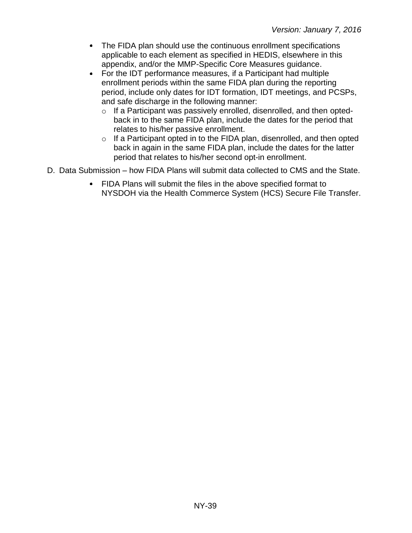- The FIDA plan should use the continuous enrollment specifications applicable to each element as specified in HEDIS, elsewhere in this appendix, and/or the MMP-Specific Core Measures guidance.
- For the IDT performance measures, if a Participant had multiple enrollment periods within the same FIDA plan during the reporting period, include only dates for IDT formation, IDT meetings, and PCSPs, and safe discharge in the following manner:
	- o If a Participant was passively enrolled, disenrolled, and then optedback in to the same FIDA plan, include the dates for the period that relates to his/her passive enrollment.
	- o If a Participant opted in to the FIDA plan, disenrolled, and then opted back in again in the same FIDA plan, include the dates for the latter period that relates to his/her second opt-in enrollment.
- D. Data Submission how FIDA Plans will submit data collected to CMS and the State.
	- FIDA Plans will submit the files in the above specified format to NYSDOH via the Health Commerce System (HCS) Secure File Transfer.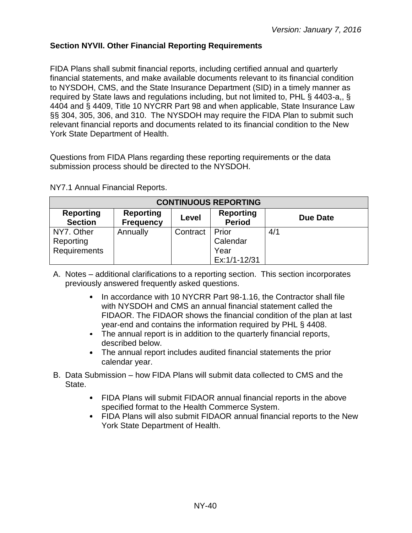## <span id="page-39-0"></span>**Section NYVII. Other Financial Reporting Requirements**

FIDA Plans shall submit financial reports, including certified annual and quarterly financial statements, and make available documents relevant to its financial condition to NYSDOH, CMS, and the State Insurance Department (SID) in a timely manner as required by State laws and regulations including, but not limited to, PHL § 4403-a,, § 4404 and § 4409, Title 10 NYCRR Part 98 and when applicable, State Insurance Law §§ 304, 305, 306, and 310. The NYSDOH may require the FIDA Plan to submit such relevant financial reports and documents related to its financial condition to the New York State Department of Health.

Questions from FIDA Plans regarding these reporting requirements or the data submission process should be directed to the NYSDOH.

| <b>CONTINUOUS REPORTING</b>             |                                      |          |                                   |                 |  |
|-----------------------------------------|--------------------------------------|----------|-----------------------------------|-----------------|--|
| <b>Reporting</b><br><b>Section</b>      | <b>Reporting</b><br><b>Frequency</b> | Level    | <b>Reporting</b><br><b>Period</b> | <b>Due Date</b> |  |
| NY7. Other<br>Reporting<br>Requirements | Annually                             | Contract | Prior<br>Calendar<br>Year         | 4/1             |  |
|                                         |                                      |          | Ex:1/1-12/31                      |                 |  |

NY7.1 Annual Financial Reports.

A. Notes – additional clarifications to a reporting section. This section incorporates previously answered frequently asked questions.

- In accordance with 10 NYCRR Part 98-1.16, the Contractor shall file with NYSDOH and CMS an annual financial statement called the FIDAOR. The FIDAOR shows the financial condition of the plan at last year-end and contains the information required by PHL § 4408.
- The annual report is in addition to the quarterly financial reports, described below.
- The annual report includes audited financial statements the prior calendar year.
- B. Data Submission how FIDA Plans will submit data collected to CMS and the State.
	- FIDA Plans will submit FIDAOR annual financial reports in the above specified format to the Health Commerce System.
	- FIDA Plans will also submit FIDAOR annual financial reports to the New York State Department of Health.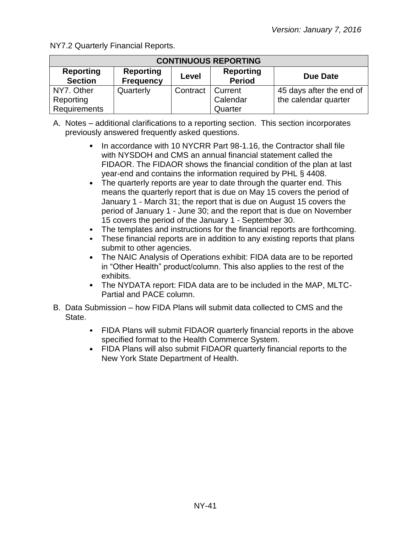NY7.2 Quarterly Financial Reports.

| <b>CONTINUOUS REPORTING</b>        |                                      |          |                                   |                          |  |
|------------------------------------|--------------------------------------|----------|-----------------------------------|--------------------------|--|
| <b>Reporting</b><br><b>Section</b> | <b>Reporting</b><br><b>Frequency</b> | Level    | <b>Reporting</b><br><b>Period</b> | <b>Due Date</b>          |  |
| NY7. Other                         | Quarterly                            | Contract | Current                           | 45 days after the end of |  |
| Reporting                          |                                      |          | Calendar                          | the calendar quarter     |  |
| Requirements                       |                                      |          | Quarter                           |                          |  |

- A. Notes additional clarifications to a reporting section. This section incorporates previously answered frequently asked questions.
	- In accordance with 10 NYCRR Part 98-1.16, the Contractor shall file with NYSDOH and CMS an annual financial statement called the FIDAOR. The FIDAOR shows the financial condition of the plan at last year-end and contains the information required by PHL § 4408.
	- The quarterly reports are year to date through the quarter end. This means the quarterly report that is due on May 15 covers the period of January 1 - March 31; the report that is due on August 15 covers the period of January 1 - June 30; and the report that is due on November 15 covers the period of the January 1 - September 30.
	- The templates and instructions for the financial reports are forthcoming.
	- These financial reports are in addition to any existing reports that plans submit to other agencies.
	- The NAIC Analysis of Operations exhibit: FIDA data are to be reported in "Other Health" product/column. This also applies to the rest of the exhibits.
	- The NYDATA report: FIDA data are to be included in the MAP, MLTC-Partial and PACE column.
- B. Data Submission how FIDA Plans will submit data collected to CMS and the State.
	- FIDA Plans will submit FIDAOR quarterly financial reports in the above specified format to the Health Commerce System.
	- FIDA Plans will also submit FIDAOR quarterly financial reports to the New York State Department of Health.